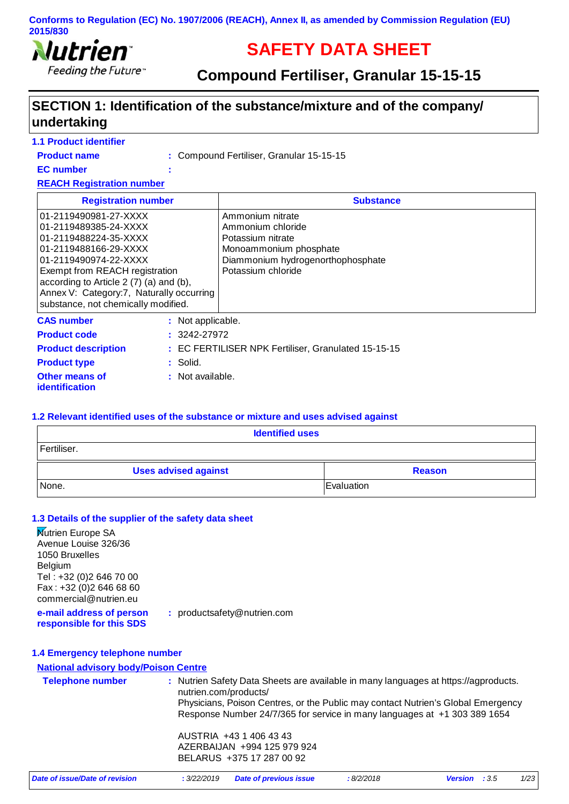

# **SAFETY DATA SHEET**

**Compound Fertiliser, Granular 15-15-15**

# **SECTION 1: Identification of the substance/mixture and of the company/ undertaking**

### **1.1 Product identifier**

**Product name**

Compound Fertiliser, Granular 15-15-15 **:**

**EC number :**

**REACH Registration number**

| <b>Registration number</b>                                                                                                                                                                                                                                                                | <b>Substance</b>                                                                                                                                |
|-------------------------------------------------------------------------------------------------------------------------------------------------------------------------------------------------------------------------------------------------------------------------------------------|-------------------------------------------------------------------------------------------------------------------------------------------------|
| 01-2119490981-27-XXXX<br>01-2119489385-24-XXXX<br>01-2119488224-35-XXXX<br>01-2119488166-29-XXXX<br>01-2119490974-22-XXXX<br>Exempt from REACH registration<br>according to Article 2 (7) (a) and (b),<br>Annex V: Category:7, Naturally occurring<br>substance, not chemically modified. | Ammonium nitrate<br>Ammonium chloride<br>Potassium nitrate<br>Monoammonium phosphate<br>Diammonium hydrogenorthophosphate<br>Potassium chloride |
| <b>CAS number</b><br>: Not applicable.<br>$: 3242 - 27972$<br><b>Product code</b>                                                                                                                                                                                                         |                                                                                                                                                 |

| <b>Product code</b>                            | $: 3242 - 27972$                                    |
|------------------------------------------------|-----------------------------------------------------|
| <b>Product description</b>                     | : EC FERTILISER NPK Fertiliser, Granulated 15-15-15 |
| <b>Product type</b>                            | : Solid.                                            |
| <b>Other means of</b><br><i>identification</i> | : Not available.                                    |

#### **1.2 Relevant identified uses of the substance or mixture and uses advised against**

| <b>Identified uses</b>                       |  |  |  |
|----------------------------------------------|--|--|--|
| Fertiliser.                                  |  |  |  |
| <b>Uses advised against</b><br><b>Reason</b> |  |  |  |
| None.<br>Evaluation                          |  |  |  |

#### **1.3 Details of the supplier of the safety data sheet**

| <b>Nutrien Europe SA</b><br>Avenue Louise 326/36<br>1050 Bruxelles<br>Belgium<br>Tel: +32 (0) 2 646 70 00 |                       |                                                                                     |           |                        |         |
|-----------------------------------------------------------------------------------------------------------|-----------------------|-------------------------------------------------------------------------------------|-----------|------------------------|---------|
| Fax: +32 (0) 2 646 68 60<br>commercial@nutrien.eu                                                         |                       |                                                                                     |           |                        |         |
| e-mail address of person<br>responsible for this SDS                                                      |                       | : productsafety@nutrien.com                                                         |           |                        |         |
| 1.4 Emergency telephone number                                                                            |                       |                                                                                     |           |                        |         |
| <b>National advisory body/Poison Centre</b>                                                               |                       |                                                                                     |           |                        |         |
| <b>Telephone number</b>                                                                                   | nutrien.com/products/ | : Nutrien Safety Data Sheets are available in many languages at https://agproducts. |           |                        |         |
|                                                                                                           |                       | Physicians, Poison Centres, or the Public may contact Nutrien's Global Emergency    |           |                        |         |
|                                                                                                           |                       | Response Number 24/7/365 for service in many languages at +1 303 389 1654           |           |                        |         |
|                                                                                                           |                       | AUSTRIA +43 1 406 43 43                                                             |           |                        |         |
|                                                                                                           |                       | AZERBAIJAN +994 125 979 924                                                         |           |                        |         |
|                                                                                                           |                       | BELARUS +375 17 287 00 92                                                           |           |                        |         |
| Date of issue/Date of revision                                                                            | : 3/22/2019           | <b>Date of previous issue</b>                                                       | :8/2/2018 | <b>Version</b><br>:3.5 | $1/2$ 3 |
|                                                                                                           |                       |                                                                                     |           |                        |         |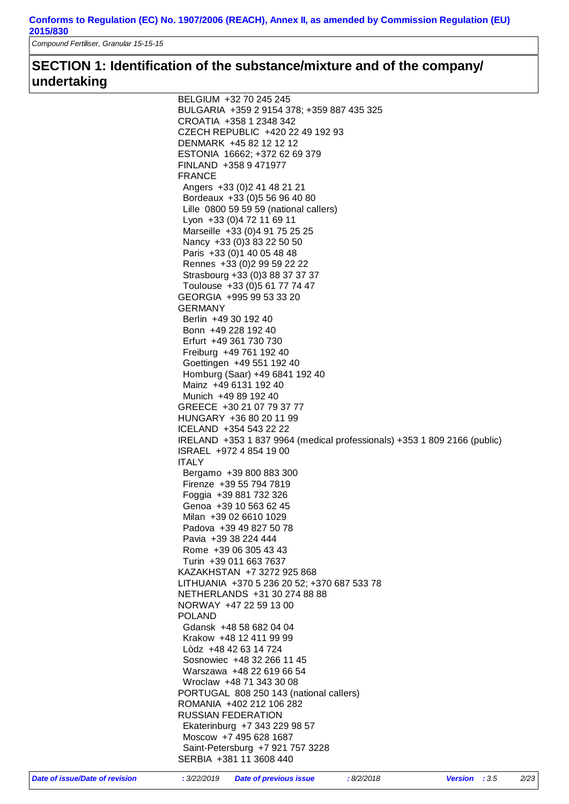*Compound Fertiliser, Granular 15-15-15*

# **SECTION 1: Identification of the substance/mixture and of the company/ undertaking**

| BELGIUM +32 70 245 245                                                   |
|--------------------------------------------------------------------------|
| BULGARIA +359 2 9154 378; +359 887 435 325                               |
| CROATIA +358 1 2348 342                                                  |
| CZECH REPUBLIC +420 22 49 192 93                                         |
| DENMARK +45 82 12 12 12                                                  |
| ESTONIA 16662; +372 62 69 379                                            |
| FINLAND +358 9 471977                                                    |
| <b>FRANCE</b>                                                            |
| Angers +33 (0) 2 41 48 21 21                                             |
| Bordeaux +33 (0) 5 56 96 40 80                                           |
| Lille 0800 59 59 59 (national callers)                                   |
| Lyon +33 (0) 4 72 11 69 11                                               |
| Marseille +33 (0)4 91 75 25 25                                           |
| Nancy +33 (0) 3 83 22 50 50                                              |
| Paris +33 (0) 1 40 05 48 48                                              |
| Rennes +33 (0) 2 99 59 22 22                                             |
| Strasbourg +33 (0)3 88 37 37 37                                          |
| Toulouse +33 (0) 5 61 77 74 47                                           |
| GEORGIA +995 99 53 33 20                                                 |
| <b>GERMANY</b>                                                           |
| Berlin +49 30 192 40                                                     |
| Bonn +49 228 192 40                                                      |
| Erfurt +49 361 730 730                                                   |
| Freiburg +49 761 192 40                                                  |
| Goettingen +49 551 192 40                                                |
| Homburg (Saar) +49 6841 192 40                                           |
| Mainz +49 6131 192 40                                                    |
| Munich +49 89 192 40                                                     |
| GREECE +30 21 07 79 37 77                                                |
| HUNGARY +36 80 20 11 99                                                  |
| ICELAND +354 543 22 22                                                   |
| IRELAND +353 1 837 9964 (medical professionals) +353 1 809 2166 (public) |
| ISRAEL +972 4 854 19 00                                                  |
| <b>ITALY</b>                                                             |
| Bergamo +39 800 883 300                                                  |
| Firenze +39 55 794 7819                                                  |
| Foggia +39 881 732 326                                                   |
| Genoa +39 10 563 62 45                                                   |
| Milan +39 02 6610 1029                                                   |
| Padova +39 49 827 50 78                                                  |
| Pavia +39 38 224 444                                                     |
| Rome +39 06 305 43 43                                                    |
| Turin +39 011 663 7637                                                   |
| KAZAKHSTAN +7 3272 925 868                                               |
| LITHUANIA +370 5 236 20 52; +370 687 533 78                              |
| NETHERLANDS +31 30 274 88 88                                             |
| NORWAY +47 22 59 13 00                                                   |
| <b>POLAND</b>                                                            |
| Gdansk +48 58 682 04 04                                                  |
| Krakow +48 12 411 99 99                                                  |
| Lòdz +48 42 63 14 724                                                    |
| Sosnowiec +48 32 266 11 45                                               |
| Warszawa +48 22 619 66 54                                                |
| Wroclaw +48 71 343 30 08                                                 |
| PORTUGAL 808 250 143 (national callers)                                  |
| ROMANIA +402 212 106 282                                                 |
| <b>RUSSIAN FEDERATION</b><br>Ekaterinburg +7 343 229 98 57               |
| Moscow +7 495 628 1687                                                   |
| Saint-Petersburg +7 921 757 3228                                         |
|                                                                          |
| SERBIA +381 11 3608 440                                                  |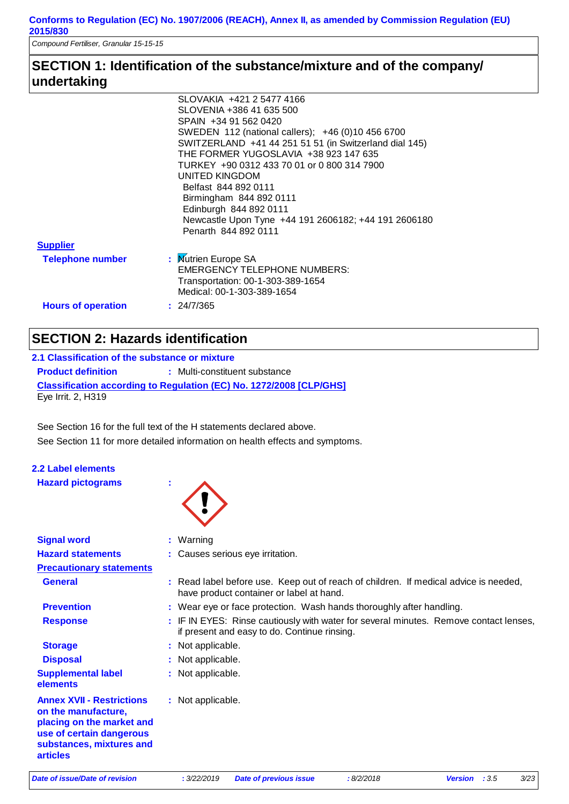*Compound Fertiliser, Granular 15-15-15*

# **SECTION 1: Identification of the substance/mixture and of the company/ undertaking**

|                           | SLOVAKIA +421 2 5477 4166                              |
|---------------------------|--------------------------------------------------------|
|                           | SLOVENIA +386 41 635 500                               |
|                           | SPAIN +34 91 562 0420                                  |
|                           | SWEDEN 112 (national callers); +46 (0)10 456 6700      |
|                           | SWITZERLAND +41 44 251 51 51 (in Switzerland dial 145) |
|                           | THE FORMER YUGOSLAVIA +38 923 147 635                  |
|                           | TURKEY +90 0312 433 70 01 or 0 800 314 7900            |
|                           | UNITED KINGDOM                                         |
|                           | Belfast 844 892 0111                                   |
|                           | Birmingham 844 892 0111                                |
|                           | Edinburgh 844 892 0111                                 |
|                           | Newcastle Upon Tyne +44 191 2606182; +44 191 2606180   |
|                           | Penarth 844 892 0111                                   |
| <b>Supplier</b>           |                                                        |
| <b>Telephone number</b>   | : Mutrien Europe SA                                    |
|                           | <b>EMERGENCY TELEPHONE NUMBERS:</b>                    |
|                           | Transportation: 00-1-303-389-1654                      |
|                           | Medical: 00-1-303-389-1654                             |
| <b>Hours of operation</b> | : 24/7/365                                             |
|                           |                                                        |
|                           |                                                        |

# **SECTION 2: Hazards identification**

| 2.1 Classification of the substance or mixture |                                                                            |  |  |
|------------------------------------------------|----------------------------------------------------------------------------|--|--|
| <b>Product definition</b>                      | : Multi-constituent substance                                              |  |  |
| Eye Irrit. 2, H319                             | <b>Classification according to Regulation (EC) No. 1272/2008 [CLP/GHS]</b> |  |  |

See Section 11 for more detailed information on health effects and symptoms. See Section 16 for the full text of the H statements declared above.

| 2.2 Label elements |                          |  |
|--------------------|--------------------------|--|
|                    | <b>Hazard pictograms</b> |  |



| <b>Signal word</b>                                                                                                                                              | : Warning                                                                                                                             |
|-----------------------------------------------------------------------------------------------------------------------------------------------------------------|---------------------------------------------------------------------------------------------------------------------------------------|
| <b>Hazard statements</b>                                                                                                                                        | : Causes serious eye irritation.                                                                                                      |
| <b>Precautionary statements</b>                                                                                                                                 |                                                                                                                                       |
| <b>General</b>                                                                                                                                                  | : Read label before use. Keep out of reach of children. If medical advice is needed,<br>have product container or label at hand.      |
| <b>Prevention</b>                                                                                                                                               | : Wear eye or face protection. Wash hands thoroughly after handling.                                                                  |
| <b>Response</b>                                                                                                                                                 | : IF IN EYES: Rinse cautiously with water for several minutes. Remove contact lenses,<br>if present and easy to do. Continue rinsing. |
| <b>Storage</b>                                                                                                                                                  | : Not applicable.                                                                                                                     |
| <b>Disposal</b>                                                                                                                                                 | : Not applicable.                                                                                                                     |
| <b>Supplemental label</b><br>elements                                                                                                                           | : Not applicable.                                                                                                                     |
| <b>Annex XVII - Restrictions</b><br>on the manufacture.<br>placing on the market and<br>use of certain dangerous<br>substances, mixtures and<br><b>articles</b> | : Not applicable.                                                                                                                     |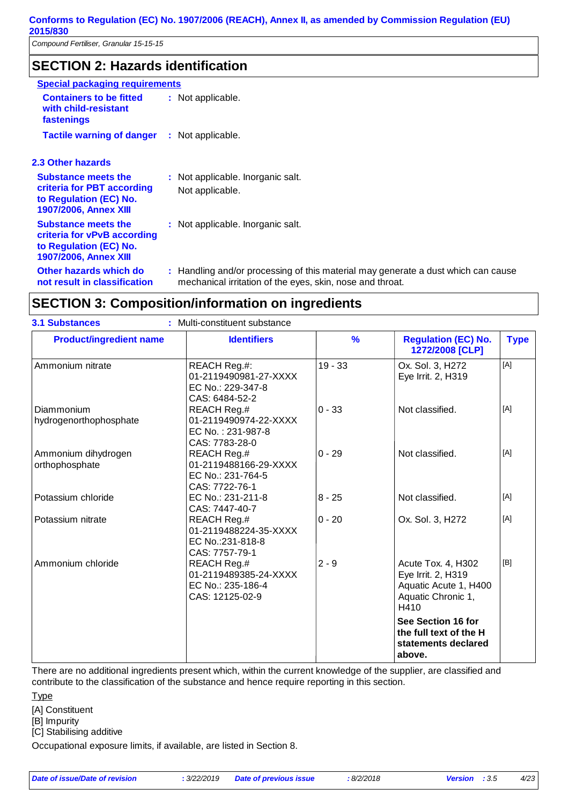# **SECTION 2: Hazards identification**

| <b>Special packaging requirements</b>                                                                               |                                                                                                                                                |
|---------------------------------------------------------------------------------------------------------------------|------------------------------------------------------------------------------------------------------------------------------------------------|
| <b>Containers to be fitted</b><br>with child-resistant<br>fastenings                                                | : Not applicable.                                                                                                                              |
| <b>Tactile warning of danger</b>                                                                                    | : Not applicable.                                                                                                                              |
| <b>2.3 Other hazards</b>                                                                                            |                                                                                                                                                |
| <b>Substance meets the</b><br>criteria for PBT according<br>to Regulation (EC) No.<br><b>1907/2006, Annex XIII</b>  | : Not applicable. Inorganic salt.<br>Not applicable.                                                                                           |
| <b>Substance meets the</b><br>criteria for vPvB according<br>to Regulation (EC) No.<br><b>1907/2006, Annex XIII</b> | : Not applicable. Inorganic salt.                                                                                                              |
| Other hazards which do<br>not result in classification                                                              | : Handling and/or processing of this material may generate a dust which can cause<br>mechanical irritation of the eyes, skin, nose and throat. |

# **SECTION 3: Composition/information on ingredients**

| <b>3.1 Substances</b>                 | : Multi-constituent substance                                                       |               |                                                                                                 |             |
|---------------------------------------|-------------------------------------------------------------------------------------|---------------|-------------------------------------------------------------------------------------------------|-------------|
| <b>Product/ingredient name</b>        | <b>Identifiers</b>                                                                  | $\frac{9}{6}$ | <b>Regulation (EC) No.</b><br>1272/2008 [CLP]                                                   | <b>Type</b> |
| Ammonium nitrate                      | REACH Reg.#:<br>01-2119490981-27-XXXX<br>EC No.: 229-347-8<br>CAS: 6484-52-2        | $19 - 33$     | Ox. Sol. 3, H272<br>Eye Irrit. 2, H319                                                          | [A]         |
| Diammonium<br>hydrogenorthophosphate  | REACH Reg.#<br>01-2119490974-22-XXXX<br>EC No.: 231-987-8<br>CAS: 7783-28-0         | $0 - 33$      | Not classified.                                                                                 | [A]         |
| Ammonium dihydrogen<br>orthophosphate | REACH Reg.#<br>01-2119488166-29-XXXX<br>EC No.: 231-764-5<br>CAS: 7722-76-1         | $0 - 29$      | Not classified.                                                                                 | [A]         |
| Potassium chloride                    | EC No.: 231-211-8<br>CAS: 7447-40-7                                                 | $8 - 25$      | Not classified.                                                                                 | [A]         |
| Potassium nitrate                     | REACH Reg.#<br>01-2119488224-35-XXXX<br>EC No.:231-818-8<br>CAS: 7757-79-1          | $0 - 20$      | Ox. Sol. 3, H272                                                                                | [A]         |
| Ammonium chloride                     | <b>REACH Reg.#</b><br>01-2119489385-24-XXXX<br>EC No.: 235-186-4<br>CAS: 12125-02-9 | $2 - 9$       | Acute Tox. 4, H302<br>Eye Irrit. 2, H319<br>Aquatic Acute 1, H400<br>Aquatic Chronic 1,<br>H410 | [B]         |
|                                       |                                                                                     |               | See Section 16 for<br>the full text of the H<br>statements declared<br>above.                   |             |

There are no additional ingredients present which, within the current knowledge of the supplier, are classified and contribute to the classification of the substance and hence require reporting in this section.

[A] Constituent

[B] Impurity

[C] Stabilising additive

Occupational exposure limits, if available, are listed in Section 8.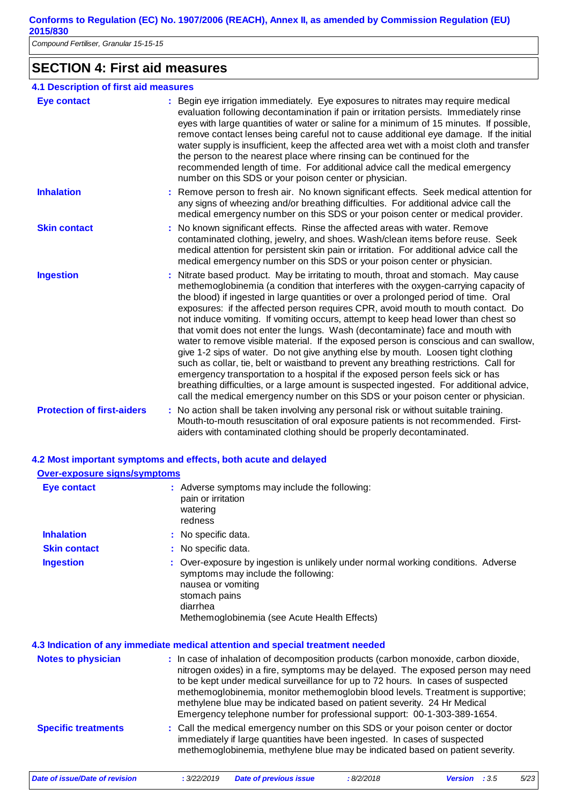*Compound Fertiliser, Granular 15-15-15*

# **SECTION 4: First aid measures**

| <b>4.1 Description of first aid measures</b> |                                                                                                                                                                                                                                                                                                                                                                                                                                                                                                                                                                                                                                                                                                                                                                                                                                                                                                                                                                                                                                                                      |
|----------------------------------------------|----------------------------------------------------------------------------------------------------------------------------------------------------------------------------------------------------------------------------------------------------------------------------------------------------------------------------------------------------------------------------------------------------------------------------------------------------------------------------------------------------------------------------------------------------------------------------------------------------------------------------------------------------------------------------------------------------------------------------------------------------------------------------------------------------------------------------------------------------------------------------------------------------------------------------------------------------------------------------------------------------------------------------------------------------------------------|
| <b>Eye contact</b>                           | : Begin eye irrigation immediately. Eye exposures to nitrates may require medical<br>evaluation following decontamination if pain or irritation persists. Immediately rinse<br>eyes with large quantities of water or saline for a minimum of 15 minutes. If possible,<br>remove contact lenses being careful not to cause additional eye damage. If the initial<br>water supply is insufficient, keep the affected area wet with a moist cloth and transfer<br>the person to the nearest place where rinsing can be continued for the<br>recommended length of time. For additional advice call the medical emergency<br>number on this SDS or your poison center or physician.                                                                                                                                                                                                                                                                                                                                                                                     |
| <b>Inhalation</b>                            | Remove person to fresh air. No known significant effects. Seek medical attention for<br>any signs of wheezing and/or breathing difficulties. For additional advice call the<br>medical emergency number on this SDS or your poison center or medical provider.                                                                                                                                                                                                                                                                                                                                                                                                                                                                                                                                                                                                                                                                                                                                                                                                       |
| <b>Skin contact</b>                          | : No known significant effects. Rinse the affected areas with water. Remove<br>contaminated clothing, jewelry, and shoes. Wash/clean items before reuse. Seek<br>medical attention for persistent skin pain or irritation. For additional advice call the<br>medical emergency number on this SDS or your poison center or physician.                                                                                                                                                                                                                                                                                                                                                                                                                                                                                                                                                                                                                                                                                                                                |
| <b>Ingestion</b>                             | : Nitrate based product. May be irritating to mouth, throat and stomach. May cause<br>methemoglobinemia (a condition that interferes with the oxygen-carrying capacity of<br>the blood) if ingested in large quantities or over a prolonged period of time. Oral<br>exposures: if the affected person requires CPR, avoid mouth to mouth contact. Do<br>not induce vomiting. If vomiting occurs, attempt to keep head lower than chest so<br>that vomit does not enter the lungs. Wash (decontaminate) face and mouth with<br>water to remove visible material. If the exposed person is conscious and can swallow,<br>give 1-2 sips of water. Do not give anything else by mouth. Loosen tight clothing<br>such as collar, tie, belt or waistband to prevent any breathing restrictions. Call for<br>emergency transportation to a hospital if the exposed person feels sick or has<br>breathing difficulties, or a large amount is suspected ingested. For additional advice,<br>call the medical emergency number on this SDS or your poison center or physician. |
| <b>Protection of first-aiders</b>            | : No action shall be taken involving any personal risk or without suitable training.<br>Mouth-to-mouth resuscitation of oral exposure patients is not recommended. First-<br>aiders with contaminated clothing should be properly decontaminated.                                                                                                                                                                                                                                                                                                                                                                                                                                                                                                                                                                                                                                                                                                                                                                                                                    |

#### **4.2 Most important symptoms and effects, both acute and delayed Over-exposure signs/symptoms**

| Eye contact                | : Adverse symptoms may include the following:<br>pain or irritation<br>watering<br>redness                                                                                                                                                                                                                                                                                                                                                                                                           |
|----------------------------|------------------------------------------------------------------------------------------------------------------------------------------------------------------------------------------------------------------------------------------------------------------------------------------------------------------------------------------------------------------------------------------------------------------------------------------------------------------------------------------------------|
| <b>Inhalation</b>          | : No specific data.                                                                                                                                                                                                                                                                                                                                                                                                                                                                                  |
| <b>Skin contact</b>        | : No specific data.                                                                                                                                                                                                                                                                                                                                                                                                                                                                                  |
| <b>Ingestion</b>           | : Over-exposure by ingestion is unlikely under normal working conditions. Adverse<br>symptoms may include the following:<br>nausea or vomiting<br>stomach pains<br>diarrhea<br>Methemoglobinemia (see Acute Health Effects)                                                                                                                                                                                                                                                                          |
|                            | 4.3 Indication of any immediate medical attention and special treatment needed                                                                                                                                                                                                                                                                                                                                                                                                                       |
| <b>Notes to physician</b>  | : In case of inhalation of decomposition products (carbon monoxide, carbon dioxide,<br>nitrogen oxides) in a fire, symptoms may be delayed. The exposed person may need<br>to be kept under medical surveillance for up to 72 hours. In cases of suspected<br>methemoglobinemia, monitor methemoglobin blood levels. Treatment is supportive;<br>methylene blue may be indicated based on patient severity. 24 Hr Medical<br>Emergency telephone number for professional support: 00-1-303-389-1654. |
| <b>Specific treatments</b> | : Call the medical emergency number on this SDS or your poison center or doctor<br>immediately if large quantities have been ingested. In cases of suspected<br>methemoglobinemia, methylene blue may be indicated based on patient severity.                                                                                                                                                                                                                                                        |

*Date of issue/Date of revision* **:** *3/22/2019 Date of previous issue : 8/2/2018 Version : 3.5 5/23*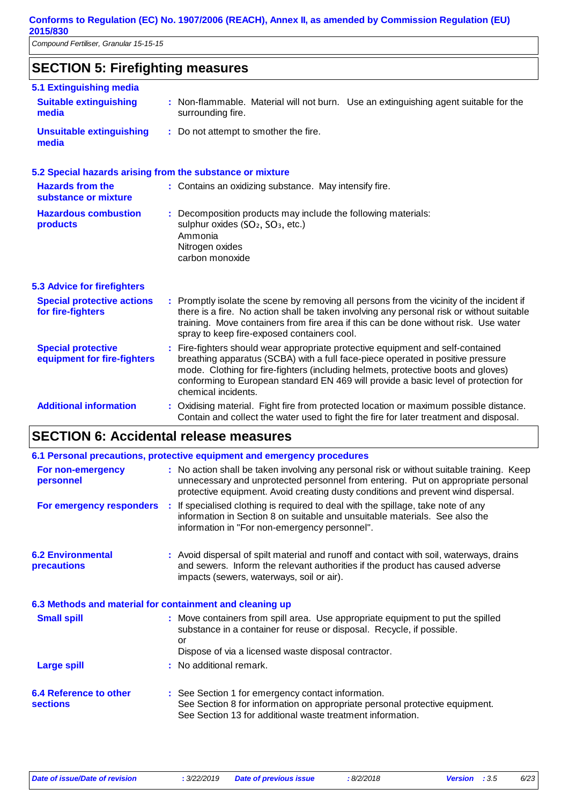# **SECTION 5: Firefighting measures**

| 5.1 Extinguishing media                                   |                                                                                                                                                                                                                                                                                                                                                                     |
|-----------------------------------------------------------|---------------------------------------------------------------------------------------------------------------------------------------------------------------------------------------------------------------------------------------------------------------------------------------------------------------------------------------------------------------------|
| <b>Suitable extinguishing</b><br>media                    | : Non-flammable. Material will not burn. Use an extinguishing agent suitable for the<br>surrounding fire.                                                                                                                                                                                                                                                           |
| <b>Unsuitable extinguishing</b><br>media                  | : Do not attempt to smother the fire.                                                                                                                                                                                                                                                                                                                               |
| 5.2 Special hazards arising from the substance or mixture |                                                                                                                                                                                                                                                                                                                                                                     |
| <b>Hazards from the</b><br>substance or mixture           | : Contains an oxidizing substance. May intensify fire.                                                                                                                                                                                                                                                                                                              |
| <b>Hazardous combustion</b><br>products                   | Decomposition products may include the following materials:<br>sulphur oxides (SO <sub>2</sub> , SO <sub>3</sub> , etc.)<br>Ammonia<br>Nitrogen oxides<br>carbon monoxide                                                                                                                                                                                           |
| <b>5.3 Advice for firefighters</b>                        |                                                                                                                                                                                                                                                                                                                                                                     |
| <b>Special protective actions</b><br>for fire-fighters    | : Promptly isolate the scene by removing all persons from the vicinity of the incident if<br>there is a fire. No action shall be taken involving any personal risk or without suitable<br>training. Move containers from fire area if this can be done without risk. Use water<br>spray to keep fire-exposed containers cool.                                       |
| <b>Special protective</b><br>equipment for fire-fighters  | Fire-fighters should wear appropriate protective equipment and self-contained<br>breathing apparatus (SCBA) with a full face-piece operated in positive pressure<br>mode. Clothing for fire-fighters (including helmets, protective boots and gloves)<br>conforming to European standard EN 469 will provide a basic level of protection for<br>chemical incidents. |
| <b>Additional information</b>                             | : Oxidising material. Fight fire from protected location or maximum possible distance.<br>Contain and collect the water used to fight the fire for later treatment and disposal.                                                                                                                                                                                    |

# **SECTION 6: Accidental release measures**

|                                                          |                                                                                                                                                                                                                        | 6.1 Personal precautions, protective equipment and emergency procedures                                                                                                                                                                                            |
|----------------------------------------------------------|------------------------------------------------------------------------------------------------------------------------------------------------------------------------------------------------------------------------|--------------------------------------------------------------------------------------------------------------------------------------------------------------------------------------------------------------------------------------------------------------------|
| For non-emergency<br>personnel                           |                                                                                                                                                                                                                        | : No action shall be taken involving any personal risk or without suitable training. Keep<br>unnecessary and unprotected personnel from entering. Put on appropriate personal<br>protective equipment. Avoid creating dusty conditions and prevent wind dispersal. |
|                                                          |                                                                                                                                                                                                                        | For emergency responders : If specialised clothing is required to deal with the spillage, take note of any<br>information in Section 8 on suitable and unsuitable materials. See also the<br>information in "For non-emergency personnel".                         |
| <b>6.2 Environmental</b><br><b>precautions</b>           | : Avoid dispersal of spilt material and runoff and contact with soil, waterways, drains<br>and sewers. Inform the relevant authorities if the product has caused adverse<br>impacts (sewers, waterways, soil or air).  |                                                                                                                                                                                                                                                                    |
| 6.3 Methods and material for containment and cleaning up |                                                                                                                                                                                                                        |                                                                                                                                                                                                                                                                    |
| <b>Small spill</b>                                       | : Move containers from spill area. Use appropriate equipment to put the spilled<br>substance in a container for reuse or disposal. Recycle, if possible.<br>or<br>Dispose of via a licensed waste disposal contractor. |                                                                                                                                                                                                                                                                    |
| <b>Large spill</b>                                       |                                                                                                                                                                                                                        | : No additional remark.                                                                                                                                                                                                                                            |
| 6.4 Reference to other<br><b>sections</b>                |                                                                                                                                                                                                                        | : See Section 1 for emergency contact information.<br>See Section 8 for information on appropriate personal protective equipment.<br>See Section 13 for additional waste treatment information.                                                                    |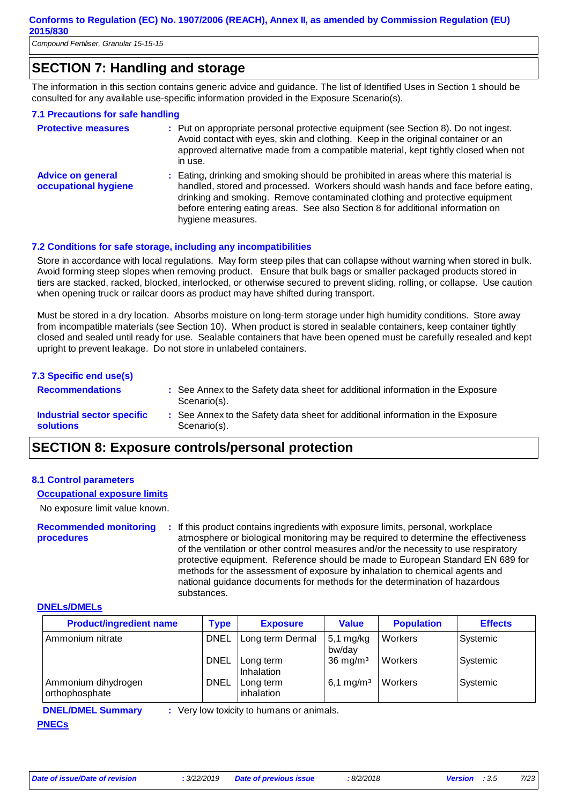# **SECTION 7: Handling and storage**

The information in this section contains generic advice and guidance. The list of Identified Uses in Section 1 should be consulted for any available use-specific information provided in the Exposure Scenario(s).

#### **7.1 Precautions for safe handling**

| <b>Protective measures</b>                       | : Put on appropriate personal protective equipment (see Section 8). Do not ingest.<br>Avoid contact with eyes, skin and clothing. Keep in the original container or an<br>approved alternative made from a compatible material, kept tightly closed when not<br>in use.                                                                                       |
|--------------------------------------------------|---------------------------------------------------------------------------------------------------------------------------------------------------------------------------------------------------------------------------------------------------------------------------------------------------------------------------------------------------------------|
| <b>Advice on general</b><br>occupational hygiene | : Eating, drinking and smoking should be prohibited in areas where this material is<br>handled, stored and processed. Workers should wash hands and face before eating,<br>drinking and smoking. Remove contaminated clothing and protective equipment<br>before entering eating areas. See also Section 8 for additional information on<br>hygiene measures. |

#### **7.2 Conditions for safe storage, including any incompatibilities**

Store in accordance with local regulations. May form steep piles that can collapse without warning when stored in bulk. Avoid forming steep slopes when removing product. Ensure that bulk bags or smaller packaged products stored in tiers are stacked, racked, blocked, interlocked, or otherwise secured to prevent sliding, rolling, or collapse. Use caution when opening truck or railcar doors as product may have shifted during transport.

Must be stored in a dry location. Absorbs moisture on long-term storage under high humidity conditions. Store away from incompatible materials (see Section 10). When product is stored in sealable containers, keep container tightly closed and sealed until ready for use. Sealable containers that have been opened must be carefully resealed and kept upright to prevent leakage. Do not store in unlabeled containers.

| : See Annex to the Safety data sheet for additional information in the Exposure |
|---------------------------------------------------------------------------------|
| : See Annex to the Safety data sheet for additional information in the Exposure |
|                                                                                 |

## **SECTION 8: Exposure controls/personal protection**

#### **8.1 Control parameters**

#### **Occupational exposure limits**

No exposure limit value known.

**Recommended monitoring procedures :** If this product contains ingredients with exposure limits, personal, workplace atmosphere or biological monitoring may be required to determine the effectiveness of the ventilation or other control measures and/or the necessity to use respiratory protective equipment. Reference should be made to European Standard EN 689 for methods for the assessment of exposure by inhalation to chemical agents and national guidance documents for methods for the determination of hazardous substances.

#### **DNELs/DMELs**

| <b>Product/ingredient name</b>        | <b>Type</b> | <b>Exposure</b>         | <b>Value</b>          | <b>Population</b> | <b>Effects</b> |
|---------------------------------------|-------------|-------------------------|-----------------------|-------------------|----------------|
| Ammonium nitrate                      | <b>DNEL</b> | Long term Dermal        | $5,1$ mg/kg<br>bw/day | Workers           | Systemic       |
|                                       | <b>DNEL</b> | Long term<br>Inhalation | $36 \text{ mg/m}^3$   | Workers           | Systemic       |
| Ammonium dihydrogen<br>orthophosphate | <b>DNEL</b> | Long term<br>inhalation | 6,1 mg/m <sup>3</sup> | Workers           | Systemic       |

# **PNECs**

**DNEL/DMEL Summary :** Very low toxicity to humans or animals.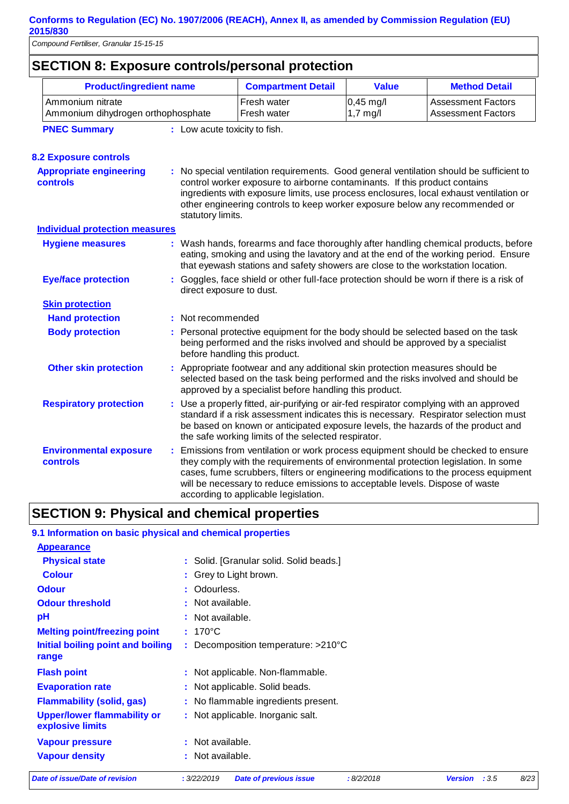| <b>SECTION 8: Exposure controls/personal protection</b>                |                                    |                          |                                                                                                                                                                                                                                                                                                                                                                                          |                         |                                                        |  |  |
|------------------------------------------------------------------------|------------------------------------|--------------------------|------------------------------------------------------------------------------------------------------------------------------------------------------------------------------------------------------------------------------------------------------------------------------------------------------------------------------------------------------------------------------------------|-------------------------|--------------------------------------------------------|--|--|
| <b>Product/ingredient name</b>                                         |                                    |                          | <b>Compartment Detail</b>                                                                                                                                                                                                                                                                                                                                                                | <b>Value</b>            | <b>Method Detail</b>                                   |  |  |
| Ammonium nitrate                                                       | Ammonium dihydrogen orthophosphate |                          |                                                                                                                                                                                                                                                                                                                                                                                          | 0,45 mg/l<br>$1,7$ mg/l | <b>Assessment Factors</b><br><b>Assessment Factors</b> |  |  |
| <b>PNEC Summary</b>                                                    | : Low acute toxicity to fish.      |                          |                                                                                                                                                                                                                                                                                                                                                                                          |                         |                                                        |  |  |
| <b>8.2 Exposure controls</b>                                           |                                    |                          |                                                                                                                                                                                                                                                                                                                                                                                          |                         |                                                        |  |  |
| <b>Appropriate engineering</b><br><b>controls</b><br>statutory limits. |                                    |                          | : No special ventilation requirements. Good general ventilation should be sufficient to<br>control worker exposure to airborne contaminants. If this product contains<br>ingredients with exposure limits, use process enclosures, local exhaust ventilation or<br>other engineering controls to keep worker exposure below any recommended or                                           |                         |                                                        |  |  |
| <b>Individual protection measures</b>                                  |                                    |                          |                                                                                                                                                                                                                                                                                                                                                                                          |                         |                                                        |  |  |
| <b>Hygiene measures</b>                                                |                                    |                          | : Wash hands, forearms and face thoroughly after handling chemical products, before<br>eating, smoking and using the lavatory and at the end of the working period. Ensure<br>that eyewash stations and safety showers are close to the workstation location.                                                                                                                            |                         |                                                        |  |  |
| <b>Eye/face protection</b>                                             |                                    | direct exposure to dust. | : Goggles, face shield or other full-face protection should be worn if there is a risk of                                                                                                                                                                                                                                                                                                |                         |                                                        |  |  |
| <b>Skin protection</b>                                                 |                                    |                          |                                                                                                                                                                                                                                                                                                                                                                                          |                         |                                                        |  |  |
| <b>Hand protection</b>                                                 |                                    | : Not recommended        |                                                                                                                                                                                                                                                                                                                                                                                          |                         |                                                        |  |  |
| <b>Body protection</b>                                                 |                                    |                          | Personal protective equipment for the body should be selected based on the task<br>being performed and the risks involved and should be approved by a specialist<br>before handling this product.                                                                                                                                                                                        |                         |                                                        |  |  |
| <b>Other skin protection</b>                                           |                                    |                          | : Appropriate footwear and any additional skin protection measures should be<br>selected based on the task being performed and the risks involved and should be<br>approved by a specialist before handling this product.                                                                                                                                                                |                         |                                                        |  |  |
| <b>Respiratory protection</b>                                          |                                    |                          | : Use a properly fitted, air-purifying or air-fed respirator complying with an approved<br>standard if a risk assessment indicates this is necessary. Respirator selection must<br>be based on known or anticipated exposure levels, the hazards of the product and<br>the safe working limits of the selected respirator.                                                               |                         |                                                        |  |  |
| <b>Environmental exposure</b><br>controls                              |                                    |                          | : Emissions from ventilation or work process equipment should be checked to ensure<br>they comply with the requirements of environmental protection legislation. In some<br>cases, fume scrubbers, filters or engineering modifications to the process equipment<br>will be necessary to reduce emissions to acceptable levels. Dispose of waste<br>according to applicable legislation. |                         |                                                        |  |  |

# **SECTION 9: Physical and chemical properties**

| 9.1 Information on basic physical and chemical properties |                                                           |                         |      |
|-----------------------------------------------------------|-----------------------------------------------------------|-------------------------|------|
| <b>Appearance</b>                                         |                                                           |                         |      |
| <b>Physical state</b>                                     | : Solid. [Granular solid. Solid beads.]                   |                         |      |
| <b>Colour</b>                                             | : Grey to Light brown.                                    |                         |      |
| <b>Odour</b>                                              | : Odourless.                                              |                         |      |
| <b>Odour threshold</b>                                    | : Not available.                                          |                         |      |
| pH                                                        | : Not available.                                          |                         |      |
| <b>Melting point/freezing point</b>                       | $: 170^{\circ}$ C                                         |                         |      |
| Initial boiling point and boiling<br>range                | : Decomposition temperature: $>210^{\circ}$ C             |                         |      |
| <b>Flash point</b>                                        | : Not applicable. Non-flammable.                          |                         |      |
| <b>Evaporation rate</b>                                   | : Not applicable. Solid beads.                            |                         |      |
| <b>Flammability (solid, gas)</b>                          | : No flammable ingredients present.                       |                         |      |
| <b>Upper/lower flammability or</b><br>explosive limits    | : Not applicable. Inorganic salt.                         |                         |      |
| <b>Vapour pressure</b>                                    | : Not available.                                          |                         |      |
| <b>Vapour density</b>                                     | : Not available.                                          |                         |      |
| Date of issue/Date of revision                            | : 3/22/2019<br><b>Date of previous issue</b><br>:8/2/2018 | <b>Version</b><br>: 3.5 | 8/23 |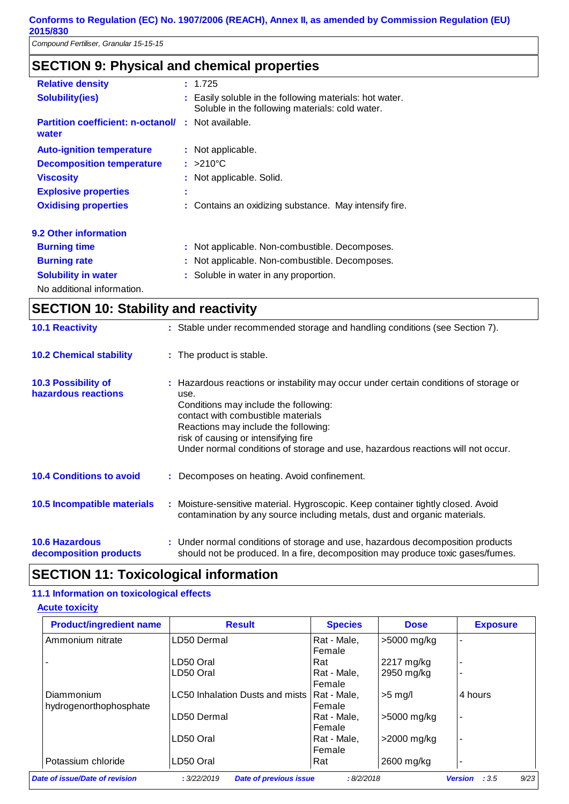*Compound Fertiliser, Granular 15-15-15*

# **SECTION 9: Physical and chemical properties**

| <b>Relative density</b>                           |        | : 1.725                                                                                                    |
|---------------------------------------------------|--------|------------------------------------------------------------------------------------------------------------|
| <b>Solubility(ies)</b>                            |        | : Easily soluble in the following materials: hot water.<br>Soluble in the following materials: cold water. |
| <b>Partition coefficient: n-octanol/</b><br>water |        | : Not available.                                                                                           |
| <b>Auto-ignition temperature</b>                  |        | : Not applicable.                                                                                          |
| <b>Decomposition temperature</b>                  |        | $: >210^{\circ}$ C                                                                                         |
| <b>Viscosity</b>                                  |        | : Not applicable. Solid.                                                                                   |
| <b>Explosive properties</b>                       | ٠<br>٠ |                                                                                                            |
| <b>Oxidising properties</b>                       |        | : Contains an oxidizing substance. May intensify fire.                                                     |
| 9.2 Other information                             |        |                                                                                                            |
| <b>Burning time</b>                               |        | : Not applicable. Non-combustible. Decomposes.                                                             |
| <b>Burning rate</b>                               |        | : Not applicable. Non-combustible. Decomposes.                                                             |
| <b>Solubility in water</b>                        |        | : Soluble in water in any proportion.                                                                      |
| No additional information.                        |        |                                                                                                            |

# **SECTION 10: Stability and reactivity**

| <b>10.1 Reactivity</b>                            | : Stable under recommended storage and handling conditions (see Section 7).                                                                                                                                                                                                                                                                     |
|---------------------------------------------------|-------------------------------------------------------------------------------------------------------------------------------------------------------------------------------------------------------------------------------------------------------------------------------------------------------------------------------------------------|
| <b>10.2 Chemical stability</b>                    | : The product is stable.                                                                                                                                                                                                                                                                                                                        |
| <b>10.3 Possibility of</b><br>hazardous reactions | : Hazardous reactions or instability may occur under certain conditions of storage or<br>use.<br>Conditions may include the following:<br>contact with combustible materials<br>Reactions may include the following:<br>risk of causing or intensifying fire<br>Under normal conditions of storage and use, hazardous reactions will not occur. |
| <b>10.4 Conditions to avoid</b>                   | : Decomposes on heating. Avoid confinement.                                                                                                                                                                                                                                                                                                     |
| <b>10.5 Incompatible materials</b>                | : Moisture-sensitive material. Hygroscopic. Keep container tightly closed. Avoid<br>contamination by any source including metals, dust and organic materials.                                                                                                                                                                                   |
| <b>10.6 Hazardous</b><br>decomposition products   | : Under normal conditions of storage and use, hazardous decomposition products<br>should not be produced. In a fire, decomposition may produce toxic gases/fumes.                                                                                                                                                                               |

# **SECTION 11: Toxicological information**

### **11.1 Information on toxicological effects**

#### **Acute toxicity**

| <b>Product/ingredient name</b> | <b>Result</b>                                | <b>Species</b> | <b>Dose</b> | <b>Exposure</b>                |
|--------------------------------|----------------------------------------------|----------------|-------------|--------------------------------|
| Ammonium nitrate               | LD50 Dermal                                  | Rat - Male,    | >5000 mg/kg |                                |
|                                |                                              | Female         |             |                                |
|                                | LD50 Oral                                    | Rat            | 2217 mg/kg  | ٠                              |
|                                | LD50 Oral                                    | Rat - Male,    | 2950 mg/kg  | ۰                              |
|                                |                                              | Female         |             |                                |
| Diammonium                     | LC50 Inhalation Dusts and mists              | Rat - Male.    | $>5$ mg/    | 4 hours                        |
| hydrogenorthophosphate         |                                              | Female         |             |                                |
|                                | LD50 Dermal                                  | Rat - Male,    | >5000 mg/kg | ٠                              |
|                                |                                              | Female         |             |                                |
|                                | LD50 Oral                                    | Rat - Male,    | >2000 mg/kg | ٠                              |
|                                |                                              | Female         |             |                                |
| Potassium chloride             | LD50 Oral                                    | Rat            | 2600 mg/kg  | $\overline{\phantom{a}}$       |
| Date of issue/Date of revision | : 3/22/2019<br><b>Date of previous issue</b> | :8/2/2018      |             | 9/23<br>:3.5<br><b>Version</b> |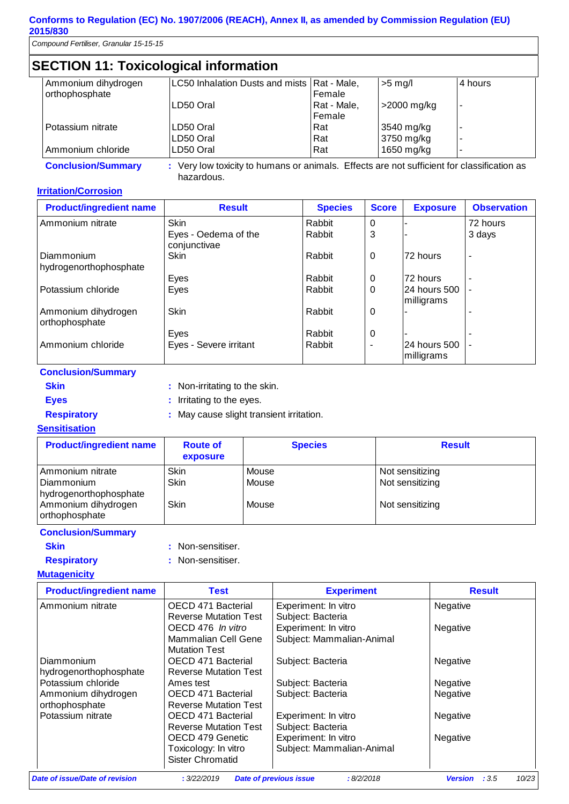*Compound Fertiliser, Granular 15-15-15*

# **SECTION 11: Toxicological information**

| Ammonium dihydrogen | LC50 Inhalation Dusts and mists   Rat - Male, |             | $>5$ mg/l   | l 4 hours                |
|---------------------|-----------------------------------------------|-------------|-------------|--------------------------|
| orthophosphate      |                                               | l Female    |             |                          |
|                     | LD50 Oral                                     | Rat - Male, | >2000 mg/kg | $\overline{\phantom{a}}$ |
|                     |                                               | l Female    |             |                          |
| Potassium nitrate   | LD50 Oral                                     | l Rat       | 3540 mg/kg  | $\overline{\phantom{0}}$ |
|                     | LD50 Oral                                     | <b>Rat</b>  | 3750 mg/kg  | $\overline{\phantom{0}}$ |
| Ammonium chloride   | LD50 Oral                                     | Rat         | 1650 mg/kg  |                          |

**Conclusion/Summary :** Very low toxicity to humans or animals. Effects are not sufficient for classification as hazardous.

#### **Irritation/Corrosion**

| <b>Product/ingredient name</b>        | <b>Result</b>                        | <b>Species</b> | <b>Score</b>   | <b>Exposure</b>             | <b>Observation</b> |
|---------------------------------------|--------------------------------------|----------------|----------------|-----------------------------|--------------------|
| Ammonium nitrate                      | <b>Skin</b>                          | Rabbit         | 0              |                             | 72 hours           |
|                                       | Eyes - Oedema of the<br>conjunctivae | Rabbit         | 3              |                             | 3 days             |
| Diammonium                            | <b>Skin</b>                          | Rabbit         | $\overline{0}$ | 72 hours                    |                    |
| hydrogenorthophosphate                |                                      |                |                |                             |                    |
|                                       | Eyes                                 | Rabbit         | 0              | 72 hours                    |                    |
| Potassium chloride                    | Eyes                                 | Rabbit         | 0              | l24 hours 500<br>milligrams |                    |
| Ammonium dihydrogen<br>orthophosphate | <b>Skin</b>                          | Rabbit         | 0              |                             |                    |
|                                       | Eyes                                 | Rabbit         | $\mathbf 0$    |                             |                    |
| Ammonium chloride                     | Eyes - Severe irritant               | Rabbit         |                | l24 hours 500<br>milligrams |                    |

#### **Conclusion/Summary**

| v<br>_ |  |
|--------|--|

**:** Non-irritating to the skin.

**Eyes** : Irritating to the eyes.

**Respiratory :** May cause slight transient irritation.

#### **Sensitisation**

| <b>Product/ingredient name</b>                           | <b>Route of</b><br>exposure | <b>Species</b> | <b>Result</b>                      |
|----------------------------------------------------------|-----------------------------|----------------|------------------------------------|
| Ammonium nitrate<br>Diammonium<br>hydrogenorthophosphate | Skin<br><b>Skin</b>         | Mouse<br>Mouse | Not sensitizing<br>Not sensitizing |
| Ammonium dihydrogen<br>orthophosphate                    | Skin                        | Mouse          | Not sensitizing                    |

#### **Conclusion/Summary**

- 
- **Skin** : Non-sensitiser.
- **Respiratory :** Non-sensitiser.

#### **Mutagenicity**

| <b>Product/ingredient name</b>        | Test                                                                | <b>Experiment</b>                                 | <b>Result</b>                   |
|---------------------------------------|---------------------------------------------------------------------|---------------------------------------------------|---------------------------------|
| Ammonium nitrate                      | OECD 471 Bacterial<br><b>Reverse Mutation Test</b>                  | Experiment: In vitro<br>Subject: Bacteria         | Negative                        |
|                                       | OECD 476 In vitro<br>Mammalian Cell Gene<br><b>Mutation Test</b>    | Experiment: In vitro<br>Subject: Mammalian-Animal | Negative                        |
| Diammonium<br>hydrogenorthophosphate  | OECD 471 Bacterial<br><b>Reverse Mutation Test</b>                  | Subject: Bacteria                                 | Negative                        |
| Potassium chloride                    | Ames test                                                           | Subject: Bacteria                                 | Negative                        |
| Ammonium dihydrogen<br>orthophosphate | OECD 471 Bacterial<br><b>Reverse Mutation Test</b>                  | Subject: Bacteria                                 | Negative                        |
| Potassium nitrate                     | OECD 471 Bacterial<br><b>Reverse Mutation Test</b>                  | Experiment: In vitro<br>Subject: Bacteria         | Negative                        |
|                                       | OECD 479 Genetic<br>Toxicology: In vitro<br><b>Sister Chromatid</b> | Experiment: In vitro<br>Subject: Mammalian-Animal | Negative                        |
| Date of issue/Date of revision        | : 3/22/2019                                                         | :8/2/2018<br><b>Date of previous issue</b>        | :3.5<br>10/23<br><b>Version</b> |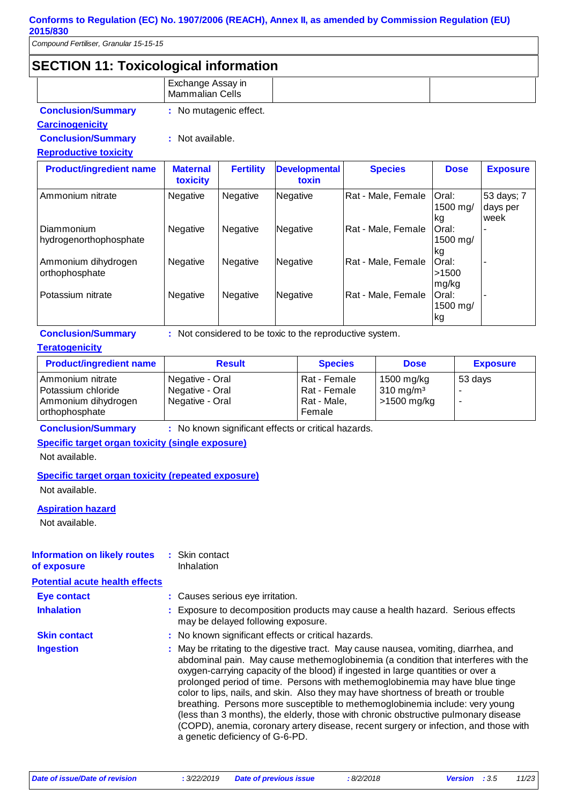*Compound Fertiliser, Granular 15-15-15*

# **SECTION 11: Toxicological information**

|                                       | Exchange Assay in<br><b>Mammalian Cells</b> |                  |                               |                    |                         |                                |
|---------------------------------------|---------------------------------------------|------------------|-------------------------------|--------------------|-------------------------|--------------------------------|
| <b>Conclusion/Summary</b>             | : No mutagenic effect.                      |                  |                               |                    |                         |                                |
| <b>Carcinogenicity</b>                |                                             |                  |                               |                    |                         |                                |
| <b>Conclusion/Summary</b>             | : Not available.                            |                  |                               |                    |                         |                                |
| <b>Reproductive toxicity</b>          |                                             |                  |                               |                    |                         |                                |
| <b>Product/ingredient name</b>        | <b>Maternal</b><br>toxicity                 | <b>Fertility</b> | <b>Developmental</b><br>toxin | <b>Species</b>     | <b>Dose</b>             | <b>Exposure</b>                |
| Ammonium nitrate                      | Negative                                    | Negative         | Negative                      | Rat - Male, Female | Oral:<br>1500 mg/<br>kg | 53 days; 7<br>days per<br>week |
| Diammonium<br>hydrogenorthophosphate  | Negative                                    | Negative         | Negative                      | Rat - Male, Female | Oral:<br>1500 mg/<br>kg |                                |
| Ammonium dihydrogen<br>orthophosphate | Negative                                    | Negative         | Negative                      | Rat - Male, Female | Oral:<br>>1500<br>mg/kg |                                |
| Potassium nitrate                     | Negative                                    | Negative         | Negative                      | Rat - Male, Female | Oral:<br>1500 mg/<br>kg |                                |

**Conclusion/Summary :** Not considered to be toxic to the reproductive system.

#### **Teratogenicity**

| <b>Product/ingredient name</b> | <b>Result</b>   | <b>Species</b> | <b>Dose</b>          | <b>Exposure</b> |
|--------------------------------|-----------------|----------------|----------------------|-----------------|
| Ammonium nitrate               | Negative - Oral | Rat - Female   | 1500 mg/kg           | 53 days         |
| Potassium chloride             | Negative - Oral | Rat - Female   | $310 \text{ mg/m}^3$ |                 |
| Ammonium dihydrogen            | Negative - Oral | Rat - Male,    | >1500 mg/kg          |                 |
| orthophosphate                 |                 | Female         |                      |                 |

**Conclusion/Summary :** No known significant effects or critical hazards.

#### **Specific target organ toxicity (single exposure)**

Not available.

#### **Specific target organ toxicity (repeated exposure)**

Not available.

#### **Aspiration hazard**

Not available.

#### Skin contact **:** Inhalation **Information on likely routes of exposure**

**Potential acute health effects Inhalation :** Exposure to decomposition products may cause a health hazard. Serious effects may be delayed following exposure. May be rritating to the digestive tract. May cause nausea, vomiting, diarrhea, and abdominal pain. May cause methemoglobinemia (a condition that interferes with the oxygen-carrying capacity of the blood) if ingested in large quantities or over a prolonged period of time. Persons with methemoglobinemia may have blue tinge color to lips, nails, and skin. Also they may have shortness of breath or trouble breathing. Persons more susceptible to methemoglobinemia include: very young (less than 3 months), the elderly, those with chronic obstructive pulmonary disease (COPD), anemia, coronary artery disease, recent surgery or infection, and those with a genetic deficiency of G-6-PD. **Ingestion : Skin contact : No known significant effects or critical hazards. Eye contact :** Causes serious eye irritation.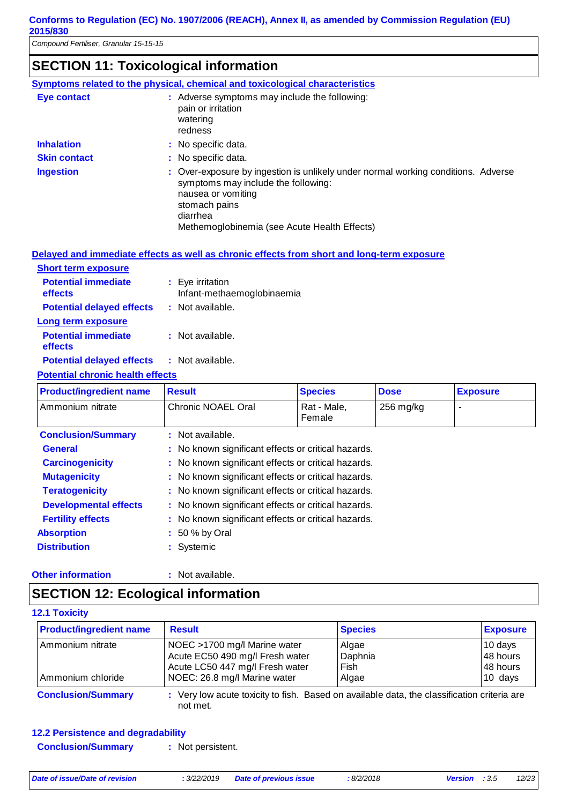# **SECTION 11: Toxicological information**

|                     | Symptoms related to the physical, chemical and toxicological characteristics                                                                                                                                                |
|---------------------|-----------------------------------------------------------------------------------------------------------------------------------------------------------------------------------------------------------------------------|
| Eye contact         | : Adverse symptoms may include the following:<br>pain or irritation<br>watering<br>redness                                                                                                                                  |
| <b>Inhalation</b>   | : No specific data.                                                                                                                                                                                                         |
| <b>Skin contact</b> | : No specific data.                                                                                                                                                                                                         |
| <b>Ingestion</b>    | : Over-exposure by ingestion is unlikely under normal working conditions. Adverse<br>symptoms may include the following:<br>nausea or vomiting<br>stomach pains<br>diarrhea<br>Methemoglobinemia (see Acute Health Effects) |

#### **Delayed and immediate effects as well as chronic effects from short and long-term exposure**

| <b>Short term exposure</b>            |                                                |
|---------------------------------------|------------------------------------------------|
| <b>Potential immediate</b><br>effects | : Eye irritation<br>Infant-methaemoglobinaemia |
| <b>Potential delayed effects</b>      | : Not available.                               |
| Long term exposure                    |                                                |
| <b>Potential immediate</b><br>effects | : Not available.                               |
| <b>Potential delayed effects</b>      | : Not available.                               |

#### **Potential chronic health effects**

| <b>Product/ingredient name</b> | <b>Result</b>                                       | <b>Species</b>        | <b>Dose</b> | <b>Exposure</b> |
|--------------------------------|-----------------------------------------------------|-----------------------|-------------|-----------------|
| Ammonium nitrate               | Chronic NOAEL Oral                                  | Rat - Male,<br>Female | $256$ mg/kg |                 |
| <b>Conclusion/Summary</b>      | : Not available.                                    |                       |             |                 |
| <b>General</b>                 | : No known significant effects or critical hazards. |                       |             |                 |
| <b>Carcinogenicity</b>         | : No known significant effects or critical hazards. |                       |             |                 |
| <b>Mutagenicity</b>            | : No known significant effects or critical hazards. |                       |             |                 |
| <b>Teratogenicity</b>          | : No known significant effects or critical hazards. |                       |             |                 |
| <b>Developmental effects</b>   | : No known significant effects or critical hazards. |                       |             |                 |
| <b>Fertility effects</b>       | : No known significant effects or critical hazards. |                       |             |                 |
| <b>Absorption</b>              | $: 50 %$ by Oral                                    |                       |             |                 |
| <b>Distribution</b>            | : Systemic                                          |                       |             |                 |

#### **Other information :**

: Not available.

# **SECTION 12: Ecological information**

#### **12.1 Toxicity**

| <b>Product/ingredient name</b> | <b>Result</b>                   | <b>Species</b> | <b>Exposure</b> |
|--------------------------------|---------------------------------|----------------|-----------------|
| Ammonium nitrate               | NOEC >1700 mg/l Marine water    | Algae          | 10 days         |
|                                | Acute EC50 490 mg/l Fresh water | Daphnia        | 48 hours        |
|                                | Acute LC50 447 mg/l Fresh water | Fish           | 48 hours        |
| Ammonium chloride              | NOEC: 26.8 mg/l Marine water    | Algae          | 10 days         |

#### **12.2 Persistence and degradability**

**Conclusion/Summary :** Not persistent.

*Date of issue/Date of revision* **:** *3/22/2019 Date of previous issue : 8/2/2018 Version : 3.5 12/23*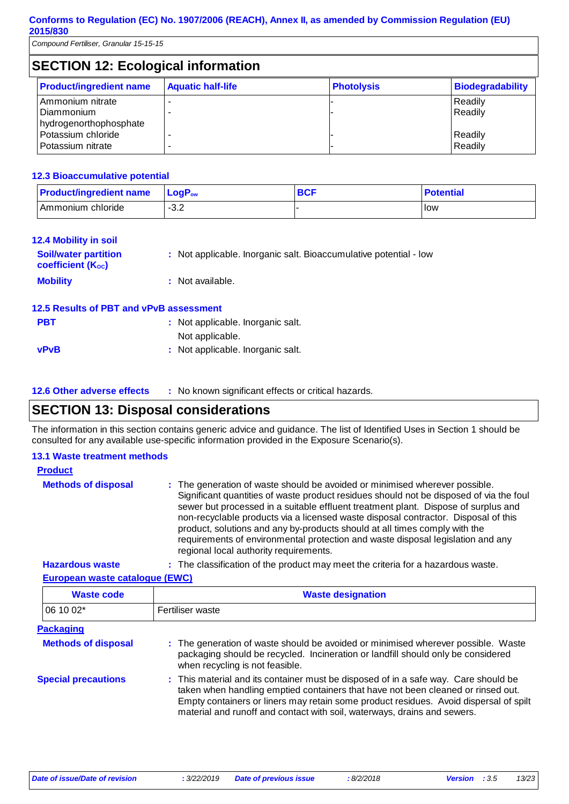| <b>SECTION 12: Ecological information</b>                       |                          |                   |                         |  |  |
|-----------------------------------------------------------------|--------------------------|-------------------|-------------------------|--|--|
| <b>Product/ingredient name</b>                                  | <b>Aquatic half-life</b> | <b>Photolysis</b> | <b>Biodegradability</b> |  |  |
| Ammonium nitrate<br><b>Diammonium</b><br>hydrogenorthophosphate | -                        |                   | Readily<br>Readily      |  |  |
| Potassium chloride<br>Potassium nitrate                         | -                        |                   | Readily<br>Readily      |  |  |

#### **12.3 Bioaccumulative potential**

| <b>Product/ingredient name</b> | $\mathsf{LogP}_\mathsf{ow}$ | <b>BCF</b> | <b>Potential</b> |
|--------------------------------|-----------------------------|------------|------------------|
| l Ammonium chloride i          | $\Omega$<br>- J.∠           |            | llow             |

| <b>12.4 Mobility in soil</b>                            |                                                                   |
|---------------------------------------------------------|-------------------------------------------------------------------|
| <b>Soil/water partition</b><br><b>coefficient (Koc)</b> | : Not applicable. Inorganic salt. Bioaccumulative potential - low |
| <b>Mobility</b>                                         | : Not available.                                                  |
| 12.5 Results of PBT and vPvB assessment                 |                                                                   |

| <b>PBT</b>  | : Not applicable. Inorganic salt. |
|-------------|-----------------------------------|
|             | Not applicable.                   |
| <b>vPvB</b> | : Not applicable. Inorganic salt. |
|             |                                   |

| <b>12.6 Other adverse effects</b> | : No known significant effects or critical hazards. |
|-----------------------------------|-----------------------------------------------------|
|                                   |                                                     |

## **SECTION 13: Disposal considerations**

The information in this section contains generic advice and guidance. The list of Identified Uses in Section 1 should be consulted for any available use-specific information provided in the Exposure Scenario(s).

#### **13.1 Waste treatment methods**

| <b>Product</b>                           |                                                                                                                                                                                                                                                                                                                                                                                                                                                                                                                                                               |
|------------------------------------------|---------------------------------------------------------------------------------------------------------------------------------------------------------------------------------------------------------------------------------------------------------------------------------------------------------------------------------------------------------------------------------------------------------------------------------------------------------------------------------------------------------------------------------------------------------------|
| <b>Methods of disposal</b>               | : The generation of waste should be avoided or minimised wherever possible.<br>Significant quantities of waste product residues should not be disposed of via the foul<br>sewer but processed in a suitable effluent treatment plant. Dispose of surplus and<br>non-recyclable products via a licensed waste disposal contractor. Disposal of this<br>product, solutions and any by-products should at all times comply with the<br>requirements of environmental protection and waste disposal legislation and any<br>regional local authority requirements. |
| المتلاح مردده المحاملة والمستحدث والتلاء | . The closelfication of the same directors as a stake controls for a homewic cross-                                                                                                                                                                                                                                                                                                                                                                                                                                                                           |

**Hazardous waste :** The classification of the product may meet the criteria for a hazardous waste.

#### **European waste catalogue (EWC)**

| <b>Waste code</b>          | <b>Waste designation</b>                                                                                                                                                                                                                                                                                                                     |  |
|----------------------------|----------------------------------------------------------------------------------------------------------------------------------------------------------------------------------------------------------------------------------------------------------------------------------------------------------------------------------------------|--|
| 06 10 02*                  | Fertiliser waste                                                                                                                                                                                                                                                                                                                             |  |
| <b>Packaging</b>           |                                                                                                                                                                                                                                                                                                                                              |  |
| <b>Methods of disposal</b> | : The generation of waste should be avoided or minimised wherever possible. Waste<br>packaging should be recycled. Incineration or landfill should only be considered<br>when recycling is not feasible.                                                                                                                                     |  |
| <b>Special precautions</b> | : This material and its container must be disposed of in a safe way. Care should be<br>taken when handling emptied containers that have not been cleaned or rinsed out.<br>Empty containers or liners may retain some product residues. Avoid dispersal of spilt<br>material and runoff and contact with soil, waterways, drains and sewers. |  |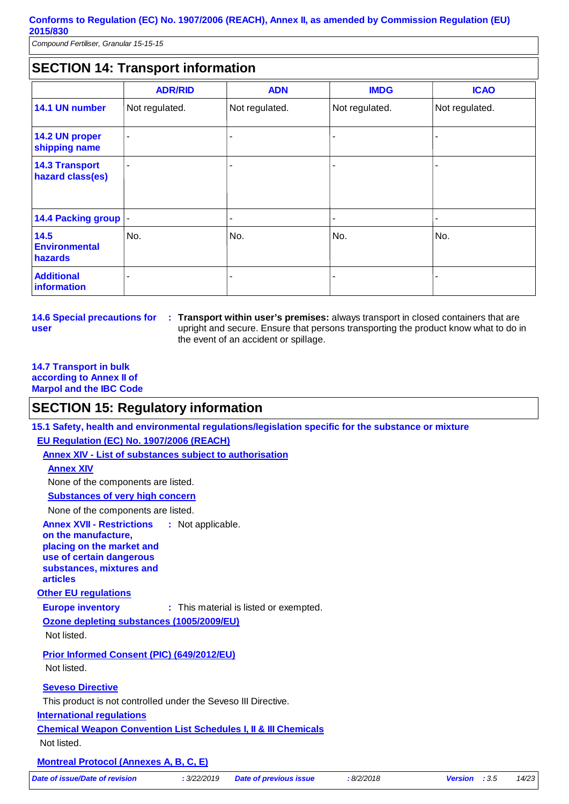*Compound Fertiliser, Granular 15-15-15*

# **SECTION 14: Transport information**

|                                           | <b>ADR/RID</b> | <b>ADN</b>     | <b>IMDG</b>    | <b>ICAO</b>    |
|-------------------------------------------|----------------|----------------|----------------|----------------|
| 14.1 UN number                            | Not regulated. | Not regulated. | Not regulated. | Not regulated. |
| 14.2 UN proper<br>shipping name           | $\blacksquare$ |                |                | -              |
| <b>14.3 Transport</b><br>hazard class(es) | ٠              |                |                | -              |
| 14.4 Packing group  -                     |                | ۰              |                | ۰              |
| 14.5<br><b>Environmental</b><br>hazards   | No.            | No.            | No.            | No.            |
| <b>Additional</b><br>information          | ۰              |                |                |                |

**14.6 Special precautions for user**

**Transport within user's premises:** always transport in closed containers that are **:** upright and secure. Ensure that persons transporting the product know what to do in the event of an accident or spillage.

#### **14.7 Transport in bulk according to Annex II of Marpol and the IBC Code**

## **SECTION 15: Regulatory information**

**Other EU regulations Annex XVII - Restrictions on the manufacture, placing on the market and use of certain dangerous substances, mixtures and articles** : Not applicable. **Europe inventory :** This material is listed or exempted. **International regulations 15.1 Safety, health and environmental regulations/legislation specific for the substance or mixture EU Regulation (EC) No. 1907/2006 (REACH) Annex XIV - List of substances subject to authorisation Substances of very high concern** None of the components are listed. **Seveso Directive** This product is not controlled under the Seveso III Directive. **Annex XIV** None of the components are listed. **Chemical Weapon Convention List Schedules I, II & III Chemicals Montreal Protocol (Annexes A, B, C, E)** Not listed. **Ozone depleting substances (1005/2009/EU)** Not listed. **Prior Informed Consent (PIC) (649/2012/EU)** Not listed. *Date of issue/Date of revision* **:** *3/22/2019 Date of previous issue : 8/2/2018 Version : 3.5 14/23*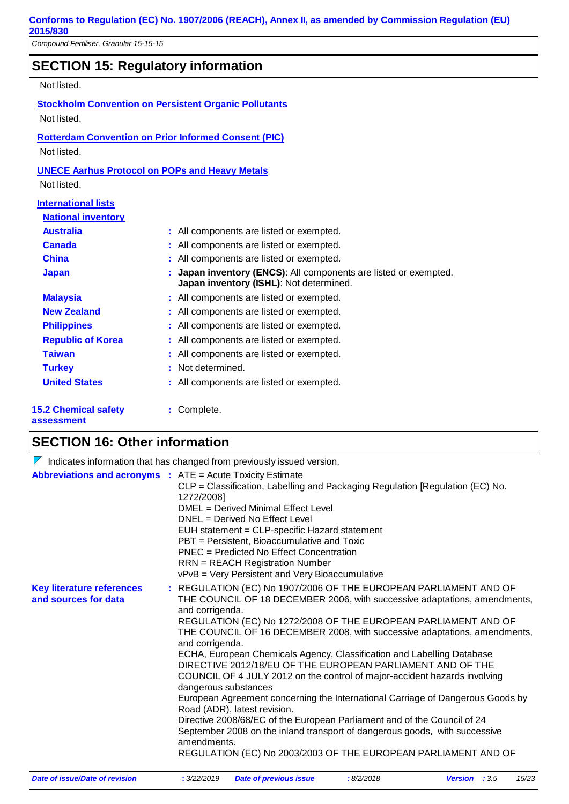*Compound Fertiliser, Granular 15-15-15*

# **SECTION 15: Regulatory information**

Not listed.

**Stockholm Convention on Persistent Organic Pollutants** Not listed.

**Rotterdam Convention on Prior Informed Consent (PIC)** Not listed.

#### **UNECE Aarhus Protocol on POPs and Heavy Metals**

Not listed.

| <b>International lists</b> |                                                                                                             |
|----------------------------|-------------------------------------------------------------------------------------------------------------|
| <b>National inventory</b>  |                                                                                                             |
| <b>Australia</b>           | : All components are listed or exempted.                                                                    |
| <b>Canada</b>              | : All components are listed or exempted.                                                                    |
| <b>China</b>               | : All components are listed or exempted.                                                                    |
| <b>Japan</b>               | : Japan inventory (ENCS): All components are listed or exempted.<br>Japan inventory (ISHL): Not determined. |
| <b>Malaysia</b>            | : All components are listed or exempted.                                                                    |
| <b>New Zealand</b>         | : All components are listed or exempted.                                                                    |
| <b>Philippines</b>         | : All components are listed or exempted.                                                                    |
| <b>Republic of Korea</b>   | : All components are listed or exempted.                                                                    |
| <b>Taiwan</b>              | : All components are listed or exempted.                                                                    |
| <b>Turkey</b>              | : Not determined.                                                                                           |
| <b>United States</b>       | : All components are listed or exempted.                                                                    |
| <b>5.2 Chemical safety</b> | Complete.                                                                                                   |

#### **15.2 Chemical safety assessment**

# **SECTION 16: Other information**

| Indicates information that has changed from previously issued version. |                                                                                                                                                                                                                                                                                                                                                                                                                                                                                                                                                                                                                                                                                                                                                                                                                                                                                                                                                                                                 |                               |           |                                 |
|------------------------------------------------------------------------|-------------------------------------------------------------------------------------------------------------------------------------------------------------------------------------------------------------------------------------------------------------------------------------------------------------------------------------------------------------------------------------------------------------------------------------------------------------------------------------------------------------------------------------------------------------------------------------------------------------------------------------------------------------------------------------------------------------------------------------------------------------------------------------------------------------------------------------------------------------------------------------------------------------------------------------------------------------------------------------------------|-------------------------------|-----------|---------------------------------|
|                                                                        | <b>Abbreviations and acronyms : ATE = Acute Toxicity Estimate</b><br>CLP = Classification, Labelling and Packaging Regulation [Regulation (EC) No.<br>1272/2008]<br>DMEL = Derived Minimal Effect Level<br>DNEL = Derived No Effect Level<br>EUH statement = CLP-specific Hazard statement<br>PBT = Persistent, Bioaccumulative and Toxic<br>PNEC = Predicted No Effect Concentration<br><b>RRN</b> = REACH Registration Number                                                                                                                                                                                                                                                                                                                                                                                                                                                                                                                                                                 |                               |           |                                 |
| <b>Key literature references</b><br>and sources for data               | vPvB = Very Persistent and Very Bioaccumulative<br>: REGULATION (EC) No 1907/2006 OF THE EUROPEAN PARLIAMENT AND OF<br>THE COUNCIL OF 18 DECEMBER 2006, with successive adaptations, amendments,<br>and corrigenda.<br>REGULATION (EC) No 1272/2008 OF THE EUROPEAN PARLIAMENT AND OF<br>THE COUNCIL OF 16 DECEMBER 2008, with successive adaptations, amendments,<br>and corrigenda.<br>ECHA, European Chemicals Agency, Classification and Labelling Database<br>DIRECTIVE 2012/18/EU OF THE EUROPEAN PARLIAMENT AND OF THE<br>COUNCIL OF 4 JULY 2012 on the control of major-accident hazards involving<br>dangerous substances<br>European Agreement concerning the International Carriage of Dangerous Goods by<br>Road (ADR), latest revision.<br>Directive 2008/68/EC of the European Parliament and of the Council of 24<br>September 2008 on the inland transport of dangerous goods, with successive<br>amendments.<br>REGULATION (EC) No 2003/2003 OF THE EUROPEAN PARLIAMENT AND OF |                               |           |                                 |
| Date of issue/Date of revision                                         | : 3/22/2019                                                                                                                                                                                                                                                                                                                                                                                                                                                                                                                                                                                                                                                                                                                                                                                                                                                                                                                                                                                     | <b>Date of previous issue</b> | :8/2/2018 | 15/23<br><b>Version</b> : $3.5$ |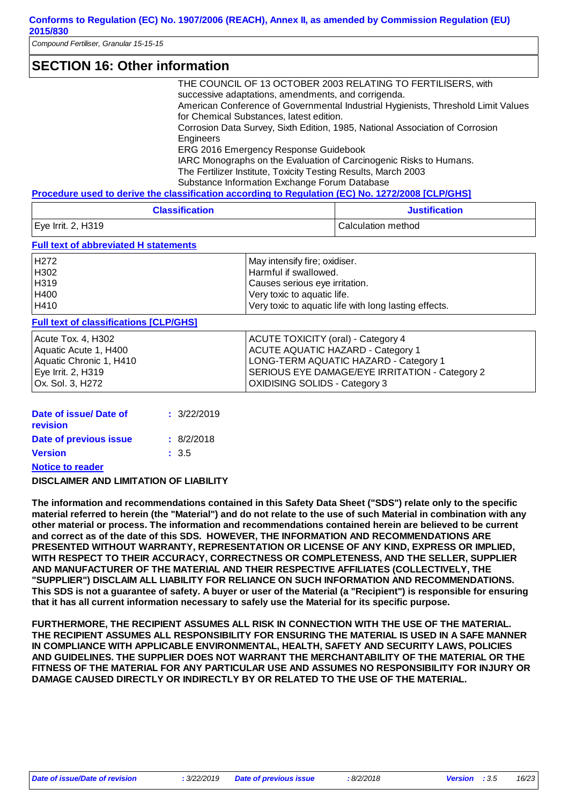| <b>SECTION 16: Other information</b> |                                                                                                                               |
|--------------------------------------|-------------------------------------------------------------------------------------------------------------------------------|
|                                      | THE COUNCIL OF 13 OCTOBER 2003 RELATING TO FERTILISERS, with<br>successive adaptations, amendments, and corrigenda.           |
|                                      | American Conference of Governmental Industrial Hygienists, Threshold Limit Values<br>for Chemical Substances, latest edition. |
|                                      | Corrosion Data Survey, Sixth Edition, 1985, National Association of Corrosion<br>Engineers                                    |
|                                      | ERG 2016 Emergency Response Guidebook                                                                                         |
|                                      | IARC Monographs on the Evaluation of Carcinogenic Risks to Humans.                                                            |
|                                      | The Fertilizer Institute, Toxicity Testing Results, March 2003                                                                |
|                                      | Substance Information Exchange Forum Database                                                                                 |
|                                      | Procedure used to derive the classification according to Regulation (EC) No. 1272/2008 [CLP/GHS]                              |

| <b>Classification</b> | <b>Justification</b> |
|-----------------------|----------------------|
| Eye Irrit. 2, H319    | l Calculation method |

#### **Full text of abbreviated H statements**

| H272         | May intensify fire; oxidiser.                           |
|--------------|---------------------------------------------------------|
| H302<br>H319 | Harmful if swallowed.<br>Causes serious eye irritation. |
| H400         | Very toxic to aquatic life.                             |
| H410         | Very toxic to aquatic life with long lasting effects.   |

#### **Full text of classifications [CLP/GHS]**

| Acute Tox. 4, H302<br>Aquatic Acute 1, H400<br>Aquatic Chronic 1, H410<br>Eye Irrit. 2, H319 | ACUTE TOXICITY (oral) - Category 4<br><b>I ACUTE AQUATIC HAZARD - Category 1</b><br>LONG-TERM AQUATIC HAZARD - Category 1<br>SERIOUS EYE DAMAGE/EYE IRRITATION - Category 2 |
|----------------------------------------------------------------------------------------------|-----------------------------------------------------------------------------------------------------------------------------------------------------------------------------|
| Ox. Sol. 3, H272                                                                             | OXIDISING SOLIDS - Category 3                                                                                                                                               |
|                                                                                              |                                                                                                                                                                             |

| Date of issue/Date of   | : 3/22/2019 |
|-------------------------|-------------|
| revision                |             |
| Date of previous issue  | : 8/2/2018  |
| <b>Version</b>          | : 3.5       |
| <b>Notice to reader</b> |             |

#### **DISCLAIMER AND LIMITATION OF LIABILITY**

**The information and recommendations contained in this Safety Data Sheet ("SDS") relate only to the specific material referred to herein (the "Material") and do not relate to the use of such Material in combination with any other material or process. The information and recommendations contained herein are believed to be current and correct as of the date of this SDS. HOWEVER, THE INFORMATION AND RECOMMENDATIONS ARE PRESENTED WITHOUT WARRANTY, REPRESENTATION OR LICENSE OF ANY KIND, EXPRESS OR IMPLIED, WITH RESPECT TO THEIR ACCURACY, CORRECTNESS OR COMPLETENESS, AND THE SELLER, SUPPLIER AND MANUFACTURER OF THE MATERIAL AND THEIR RESPECTIVE AFFILIATES (COLLECTIVELY, THE "SUPPLIER") DISCLAIM ALL LIABILITY FOR RELIANCE ON SUCH INFORMATION AND RECOMMENDATIONS. This SDS is not a guarantee of safety. A buyer or user of the Material (a "Recipient") is responsible for ensuring that it has all current information necessary to safely use the Material for its specific purpose.**

**FURTHERMORE, THE RECIPIENT ASSUMES ALL RISK IN CONNECTION WITH THE USE OF THE MATERIAL. THE RECIPIENT ASSUMES ALL RESPONSIBILITY FOR ENSURING THE MATERIAL IS USED IN A SAFE MANNER IN COMPLIANCE WITH APPLICABLE ENVIRONMENTAL, HEALTH, SAFETY AND SECURITY LAWS, POLICIES AND GUIDELINES. THE SUPPLIER DOES NOT WARRANT THE MERCHANTABILITY OF THE MATERIAL OR THE FITNESS OF THE MATERIAL FOR ANY PARTICULAR USE AND ASSUMES NO RESPONSIBILITY FOR INJURY OR DAMAGE CAUSED DIRECTLY OR INDIRECTLY BY OR RELATED TO THE USE OF THE MATERIAL.**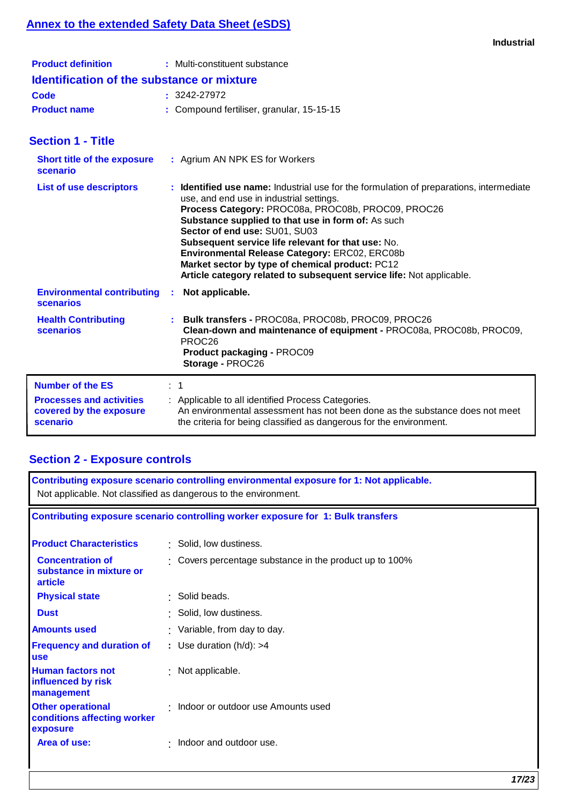# **Annex to the extended Safety Data Sheet (eSDS)**

| <b>Industrial</b> |  |
|-------------------|--|
|                   |  |

| <b>Product definition</b>                                                                         | : Multi-constituent substance                                                                                                                                                                                                                                                                                                                                                                                                                                                                                      |
|---------------------------------------------------------------------------------------------------|--------------------------------------------------------------------------------------------------------------------------------------------------------------------------------------------------------------------------------------------------------------------------------------------------------------------------------------------------------------------------------------------------------------------------------------------------------------------------------------------------------------------|
| <b>Identification of the substance or mixture</b>                                                 |                                                                                                                                                                                                                                                                                                                                                                                                                                                                                                                    |
| Code                                                                                              | $: 3242 - 27972$                                                                                                                                                                                                                                                                                                                                                                                                                                                                                                   |
| <b>Product name</b>                                                                               | : Compound fertiliser, granular, 15-15-15                                                                                                                                                                                                                                                                                                                                                                                                                                                                          |
| <b>Section 1 - Title</b>                                                                          |                                                                                                                                                                                                                                                                                                                                                                                                                                                                                                                    |
| <b>Short title of the exposure</b><br>scenario                                                    | : Agrium AN NPK ES for Workers                                                                                                                                                                                                                                                                                                                                                                                                                                                                                     |
| <b>List of use descriptors</b>                                                                    | : Identified use name: Industrial use for the formulation of preparations, intermediate<br>use, and end use in industrial settings.<br>Process Category: PROC08a, PROC08b, PROC09, PROC26<br>Substance supplied to that use in form of: As such<br>Sector of end use: SU01, SU03<br>Subsequent service life relevant for that use: No.<br>Environmental Release Category: ERC02, ERC08b<br>Market sector by type of chemical product: PC12<br>Article category related to subsequent service life: Not applicable. |
| <b>Environmental contributing</b><br>scenarios                                                    | Not applicable.<br>÷.                                                                                                                                                                                                                                                                                                                                                                                                                                                                                              |
| <b>Health Contributing</b><br>scenarios                                                           | Bulk transfers - PROC08a, PROC08b, PROC09, PROC26<br>Clean-down and maintenance of equipment - PROC08a, PROC08b, PROC09,<br>PROC <sub>26</sub><br>Product packaging - PROC09<br>Storage - PROC26                                                                                                                                                                                                                                                                                                                   |
| <b>Number of the ES</b><br><b>Processes and activities</b><br>covered by the exposure<br>scenario | $\therefore$ 1<br>: Applicable to all identified Process Categories.<br>An environmental assessment has not been done as the substance does not meet<br>the criteria for being classified as dangerous for the environment.                                                                                                                                                                                                                                                                                        |

# **Section 2 - Exposure controls**

| Contributing exposure scenario controlling environmental exposure for 1: Not applicable.<br>Not applicable. Not classified as dangerous to the environment. |                                                       |  |
|-------------------------------------------------------------------------------------------------------------------------------------------------------------|-------------------------------------------------------|--|
| Contributing exposure scenario controlling worker exposure for 1: Bulk transfers                                                                            |                                                       |  |
| <b>Product Characteristics</b>                                                                                                                              | : Solid, low dustiness.                               |  |
| <b>Concentration of</b><br>substance in mixture or<br>article                                                                                               | Covers percentage substance in the product up to 100% |  |
| <b>Physical state</b>                                                                                                                                       | $\cdot$ Solid beads.                                  |  |
| <b>Dust</b>                                                                                                                                                 | : Solid, low dustiness.                               |  |
| <b>Amounts used</b>                                                                                                                                         | : Variable, from day to day.                          |  |
| <b>Frequency and duration of</b><br><b>use</b>                                                                                                              | : Use duration $(h/d)$ : >4                           |  |
| <b>Human factors not</b><br>influenced by risk<br>management                                                                                                | : Not applicable.                                     |  |
| <b>Other operational</b><br>conditions affecting worker<br>exposure                                                                                         | Indoor or outdoor use Amounts used                    |  |
| Area of use:                                                                                                                                                | Indoor and outdoor use.<br>٠.                         |  |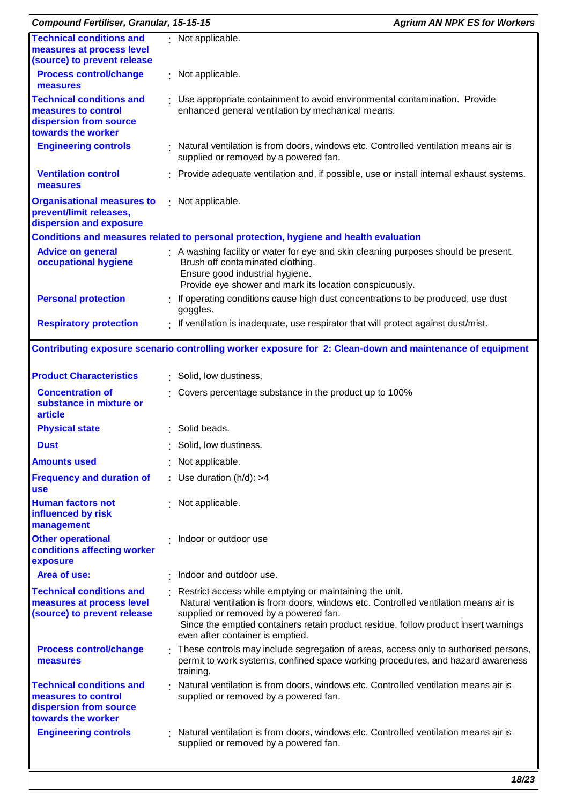| <b>Compound Fertiliser, Granular, 15-15-15</b>                                                         |                                                                                                                                                                                                                                                                                                                      | <b>Agrium AN NPK ES for Workers</b> |
|--------------------------------------------------------------------------------------------------------|----------------------------------------------------------------------------------------------------------------------------------------------------------------------------------------------------------------------------------------------------------------------------------------------------------------------|-------------------------------------|
| <b>Technical conditions and</b><br>measures at process level<br>(source) to prevent release            | : Not applicable.                                                                                                                                                                                                                                                                                                    |                                     |
| <b>Process control/change</b><br>measures                                                              | : Not applicable.                                                                                                                                                                                                                                                                                                    |                                     |
| <b>Technical conditions and</b><br>measures to control<br>dispersion from source<br>towards the worker | : Use appropriate containment to avoid environmental contamination. Provide<br>enhanced general ventilation by mechanical means.                                                                                                                                                                                     |                                     |
| <b>Engineering controls</b>                                                                            | · Natural ventilation is from doors, windows etc. Controlled ventilation means air is<br>supplied or removed by a powered fan.                                                                                                                                                                                       |                                     |
| <b>Ventilation control</b><br>measures                                                                 | : Provide adequate ventilation and, if possible, use or install internal exhaust systems.                                                                                                                                                                                                                            |                                     |
| <b>Organisational measures to</b><br>prevent/limit releases,<br>dispersion and exposure                | : Not applicable.                                                                                                                                                                                                                                                                                                    |                                     |
|                                                                                                        | Conditions and measures related to personal protection, hygiene and health evaluation                                                                                                                                                                                                                                |                                     |
| <b>Advice on general</b><br>occupational hygiene                                                       | : A washing facility or water for eye and skin cleaning purposes should be present.<br>Brush off contaminated clothing.<br>Ensure good industrial hygiene.<br>Provide eye shower and mark its location conspicuously.                                                                                                |                                     |
| <b>Personal protection</b>                                                                             | If operating conditions cause high dust concentrations to be produced, use dust<br>goggles.                                                                                                                                                                                                                          |                                     |
| <b>Respiratory protection</b>                                                                          | : If ventilation is inadequate, use respirator that will protect against dust/mist.                                                                                                                                                                                                                                  |                                     |
|                                                                                                        | Contributing exposure scenario controlling worker exposure for 2: Clean-down and maintenance of equipment                                                                                                                                                                                                            |                                     |
| <b>Product Characteristics</b>                                                                         | : Solid, low dustiness.                                                                                                                                                                                                                                                                                              |                                     |
| <b>Concentration of</b><br>substance in mixture or<br>article                                          | Covers percentage substance in the product up to 100%                                                                                                                                                                                                                                                                |                                     |
| <b>Physical state</b>                                                                                  | : Solid beads.                                                                                                                                                                                                                                                                                                       |                                     |
| <b>Dust</b>                                                                                            | : Solid, low dustiness.                                                                                                                                                                                                                                                                                              |                                     |
| <b>Amounts used</b>                                                                                    | : Not applicable.                                                                                                                                                                                                                                                                                                    |                                     |
| <b>Frequency and duration of</b><br><b>use</b>                                                         | : Use duration $(h/d)$ : >4                                                                                                                                                                                                                                                                                          |                                     |
| <b>Human factors not</b><br>influenced by risk<br>management                                           | : Not applicable.                                                                                                                                                                                                                                                                                                    |                                     |
| <b>Other operational</b><br>conditions affecting worker<br>exposure                                    | Indoor or outdoor use                                                                                                                                                                                                                                                                                                |                                     |
| Area of use:                                                                                           | . Indoor and outdoor use.                                                                                                                                                                                                                                                                                            |                                     |
| <b>Technical conditions and</b><br>measures at process level<br>(source) to prevent release            | : Restrict access while emptying or maintaining the unit.<br>Natural ventilation is from doors, windows etc. Controlled ventilation means air is<br>supplied or removed by a powered fan.<br>Since the emptied containers retain product residue, follow product insert warnings<br>even after container is emptied. |                                     |
| <b>Process control/change</b><br>measures                                                              | : These controls may include segregation of areas, access only to authorised persons,<br>permit to work systems, confined space working procedures, and hazard awareness<br>training.                                                                                                                                |                                     |
| <b>Technical conditions and</b><br>measures to control<br>dispersion from source<br>towards the worker | Natural ventilation is from doors, windows etc. Controlled ventilation means air is<br>supplied or removed by a powered fan.                                                                                                                                                                                         |                                     |
| <b>Engineering controls</b>                                                                            | Natural ventilation is from doors, windows etc. Controlled ventilation means air is<br>supplied or removed by a powered fan.                                                                                                                                                                                         |                                     |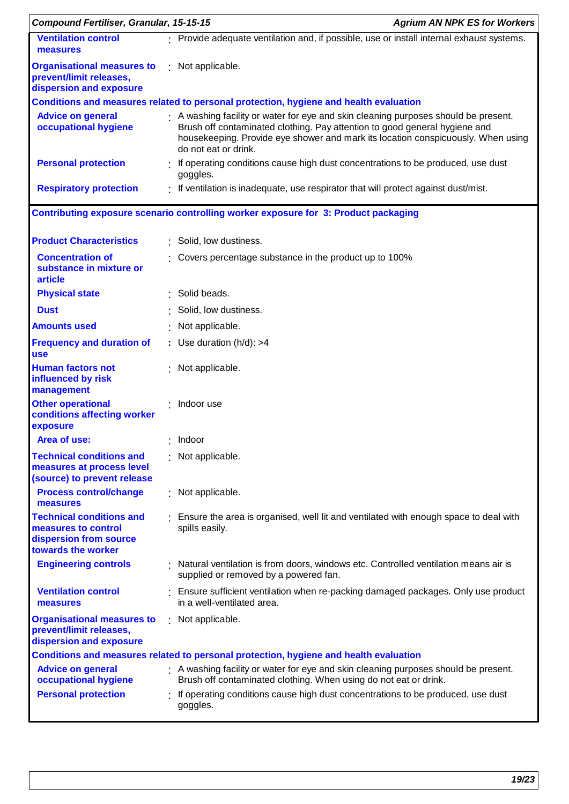| <b>Compound Fertiliser, Granular, 15-15-15</b>                                                         |                                                                                                                                                                                                                                                                             | <b>Agrium AN NPK ES for Workers</b> |
|--------------------------------------------------------------------------------------------------------|-----------------------------------------------------------------------------------------------------------------------------------------------------------------------------------------------------------------------------------------------------------------------------|-------------------------------------|
| <b>Ventilation control</b><br>measures                                                                 | : Provide adequate ventilation and, if possible, use or install internal exhaust systems.                                                                                                                                                                                   |                                     |
| <b>Organisational measures to</b><br>prevent/limit releases,<br>dispersion and exposure                | : Not applicable.                                                                                                                                                                                                                                                           |                                     |
|                                                                                                        | Conditions and measures related to personal protection, hygiene and health evaluation                                                                                                                                                                                       |                                     |
| <b>Advice on general</b><br>occupational hygiene                                                       | A washing facility or water for eye and skin cleaning purposes should be present.<br>Brush off contaminated clothing. Pay attention to good general hygiene and<br>housekeeping. Provide eye shower and mark its location conspicuously. When using<br>do not eat or drink. |                                     |
| <b>Personal protection</b>                                                                             | If operating conditions cause high dust concentrations to be produced, use dust<br>goggles.                                                                                                                                                                                 |                                     |
| <b>Respiratory protection</b>                                                                          | If ventilation is inadequate, use respirator that will protect against dust/mist.                                                                                                                                                                                           |                                     |
|                                                                                                        | Contributing exposure scenario controlling worker exposure for 3: Product packaging                                                                                                                                                                                         |                                     |
| <b>Product Characteristics</b>                                                                         | : Solid, low dustiness.                                                                                                                                                                                                                                                     |                                     |
| <b>Concentration of</b><br>substance in mixture or<br>article                                          | Covers percentage substance in the product up to 100%                                                                                                                                                                                                                       |                                     |
| <b>Physical state</b>                                                                                  | · Solid beads.                                                                                                                                                                                                                                                              |                                     |
| <b>Dust</b>                                                                                            | Solid, low dustiness.                                                                                                                                                                                                                                                       |                                     |
| <b>Amounts used</b>                                                                                    | Not applicable.                                                                                                                                                                                                                                                             |                                     |
| <b>Frequency and duration of</b><br><b>use</b>                                                         | : Use duration $(h/d)$ : >4                                                                                                                                                                                                                                                 |                                     |
| <b>Human factors not</b><br>influenced by risk<br>management                                           | : Not applicable.                                                                                                                                                                                                                                                           |                                     |
| <b>Other operational</b><br>conditions affecting worker<br>exposure                                    | : Indoor use                                                                                                                                                                                                                                                                |                                     |
| Area of use:                                                                                           | Indoor                                                                                                                                                                                                                                                                      |                                     |
| <b>Technical conditions and</b><br>measures at process level<br>(source) to prevent release            | : Not applicable.                                                                                                                                                                                                                                                           |                                     |
| <b>Process control/change</b><br>measures                                                              | : Not applicable.                                                                                                                                                                                                                                                           |                                     |
| <b>Technical conditions and</b><br>measures to control<br>dispersion from source<br>towards the worker | . Ensure the area is organised, well lit and ventilated with enough space to deal with<br>spills easily.                                                                                                                                                                    |                                     |
| <b>Engineering controls</b>                                                                            | Natural ventilation is from doors, windows etc. Controlled ventilation means air is<br>supplied or removed by a powered fan.                                                                                                                                                |                                     |
| <b>Ventilation control</b><br>measures                                                                 | : Ensure sufficient ventilation when re-packing damaged packages. Only use product<br>in a well-ventilated area.                                                                                                                                                            |                                     |
| <b>Organisational measures to</b><br>prevent/limit releases,                                           | : Not applicable.                                                                                                                                                                                                                                                           |                                     |
| dispersion and exposure                                                                                | Conditions and measures related to personal protection, hygiene and health evaluation                                                                                                                                                                                       |                                     |
| <b>Advice on general</b>                                                                               | : A washing facility or water for eye and skin cleaning purposes should be present.                                                                                                                                                                                         |                                     |
| occupational hygiene                                                                                   | Brush off contaminated clothing. When using do not eat or drink.                                                                                                                                                                                                            |                                     |
| <b>Personal protection</b>                                                                             | If operating conditions cause high dust concentrations to be produced, use dust<br>goggles.                                                                                                                                                                                 |                                     |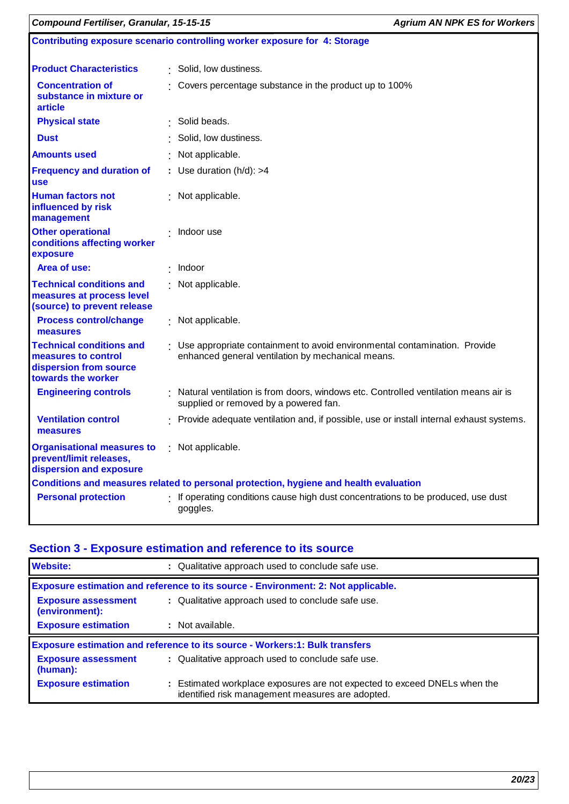| <b>Compound Fertiliser, Granular, 15-15-15</b>                                                         |                                                                           |                                                                                                                                  | <b>Agrium AN NPK ES for Workers</b> |
|--------------------------------------------------------------------------------------------------------|---------------------------------------------------------------------------|----------------------------------------------------------------------------------------------------------------------------------|-------------------------------------|
|                                                                                                        | Contributing exposure scenario controlling worker exposure for 4: Storage |                                                                                                                                  |                                     |
| <b>Product Characteristics</b>                                                                         |                                                                           | : Solid, low dustiness.                                                                                                          |                                     |
| <b>Concentration of</b><br>substance in mixture or<br>article                                          |                                                                           | : Covers percentage substance in the product up to 100%                                                                          |                                     |
| <b>Physical state</b>                                                                                  |                                                                           | : Solid beads.                                                                                                                   |                                     |
| <b>Dust</b>                                                                                            |                                                                           | Solid, low dustiness.                                                                                                            |                                     |
| <b>Amounts used</b>                                                                                    |                                                                           | Not applicable.                                                                                                                  |                                     |
| <b>Frequency and duration of</b><br><b>use</b>                                                         |                                                                           | : Use duration $(h/d)$ : >4                                                                                                      |                                     |
| <b>Human factors not</b><br>influenced by risk<br>management                                           |                                                                           | : Not applicable.                                                                                                                |                                     |
| <b>Other operational</b><br>conditions affecting worker<br>exposure                                    |                                                                           | $\cdot$ Indoor use                                                                                                               |                                     |
| Area of use:                                                                                           |                                                                           | $\cdot$ Indoor                                                                                                                   |                                     |
| <b>Technical conditions and</b><br>measures at process level<br>(source) to prevent release            |                                                                           | : Not applicable.                                                                                                                |                                     |
| <b>Process control/change</b><br>measures                                                              |                                                                           | : Not applicable.                                                                                                                |                                     |
| <b>Technical conditions and</b><br>measures to control<br>dispersion from source<br>towards the worker |                                                                           | : Use appropriate containment to avoid environmental contamination. Provide<br>enhanced general ventilation by mechanical means. |                                     |
| <b>Engineering controls</b>                                                                            |                                                                           | : Natural ventilation is from doors, windows etc. Controlled ventilation means air is<br>supplied or removed by a powered fan.   |                                     |
| <b>Ventilation control</b><br>measures                                                                 |                                                                           | : Provide adequate ventilation and, if possible, use or install internal exhaust systems.                                        |                                     |
| <b>Organisational measures to</b><br>prevent/limit releases,<br>dispersion and exposure                |                                                                           | : Not applicable.                                                                                                                |                                     |
|                                                                                                        |                                                                           | Conditions and measures related to personal protection, hygiene and health evaluation                                            |                                     |
| <b>Personal protection</b>                                                                             |                                                                           | : If operating conditions cause high dust concentrations to be produced, use dust<br>goggles.                                    |                                     |

# **Section 3 - Exposure estimation and reference to its source**

| <b>Website:</b>                              | : Qualitative approach used to conclude safe use.                                                                             |  |  |
|----------------------------------------------|-------------------------------------------------------------------------------------------------------------------------------|--|--|
|                                              | Exposure estimation and reference to its source - Environment: 2: Not applicable.                                             |  |  |
| <b>Exposure assessment</b><br>(environment): | : Qualitative approach used to conclude safe use.                                                                             |  |  |
| <b>Exposure estimation</b>                   | : Not available.                                                                                                              |  |  |
|                                              | <b>Exposure estimation and reference to its source - Workers:1: Bulk transfers</b>                                            |  |  |
| <b>Exposure assessment</b><br>(human):       | : Qualitative approach used to conclude safe use.                                                                             |  |  |
| <b>Exposure estimation</b>                   | : Estimated workplace exposures are not expected to exceed DNELs when the<br>identified risk management measures are adopted. |  |  |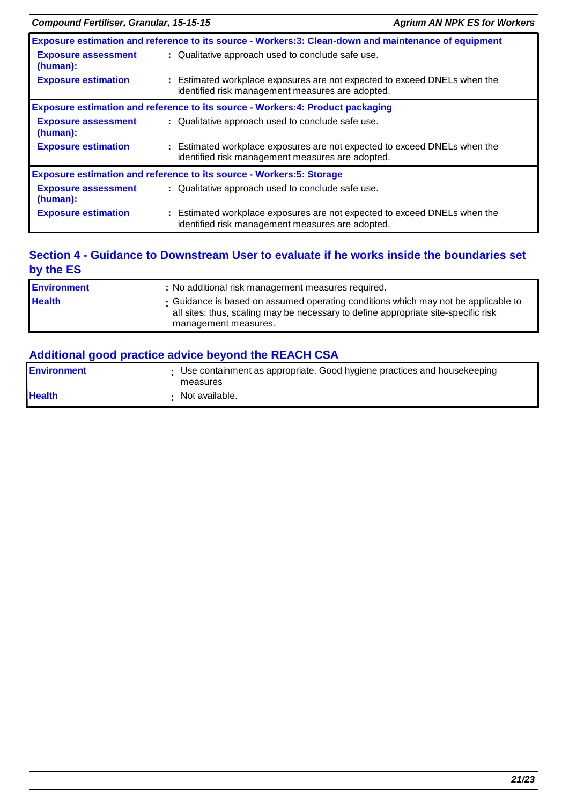| <b>Compound Fertiliser, Granular, 15-15-15</b>                                        |                                                                                                                               | <b>Agrium AN NPK ES for Workers</b> |
|---------------------------------------------------------------------------------------|-------------------------------------------------------------------------------------------------------------------------------|-------------------------------------|
|                                                                                       | Exposure estimation and reference to its source - Workers:3: Clean-down and maintenance of equipment                          |                                     |
| <b>Exposure assessment</b><br>(human):                                                | : Qualitative approach used to conclude safe use.                                                                             |                                     |
| <b>Exposure estimation</b>                                                            | : Estimated workplace exposures are not expected to exceed DNELs when the<br>identified risk management measures are adopted. |                                     |
| <b>Exposure estimation and reference to its source - Workers:4: Product packaging</b> |                                                                                                                               |                                     |
| <b>Exposure assessment</b><br>(human):                                                | : Qualitative approach used to conclude safe use.                                                                             |                                     |
| <b>Exposure estimation</b>                                                            | : Estimated workplace exposures are not expected to exceed DNELs when the<br>identified risk management measures are adopted. |                                     |
| <b>Exposure estimation and reference to its source - Workers: 5: Storage</b>          |                                                                                                                               |                                     |
| <b>Exposure assessment</b><br>(human):                                                | : Qualitative approach used to conclude safe use.                                                                             |                                     |
| <b>Exposure estimation</b>                                                            | : Estimated workplace exposures are not expected to exceed DNELs when the<br>identified risk management measures are adopted. |                                     |

### **Section 4 - Guidance to Downstream User to evaluate if he works inside the boundaries set by the ES**

| <b>Environment</b> | : No additional risk management measures required.                                                                                                                                               |
|--------------------|--------------------------------------------------------------------------------------------------------------------------------------------------------------------------------------------------|
| <b>Health</b>      | . Guidance is based on assumed operating conditions which may not be applicable to<br>all sites; thus, scaling may be necessary to define appropriate site-specific risk<br>management measures. |

# **Additional good practice advice beyond the REACH CSA**

| <b>IEnvironment</b> | • Use containment as appropriate. Good hygiene practices and housekeeping<br>measures |
|---------------------|---------------------------------------------------------------------------------------|
| <b>Health</b>       | Not available.                                                                        |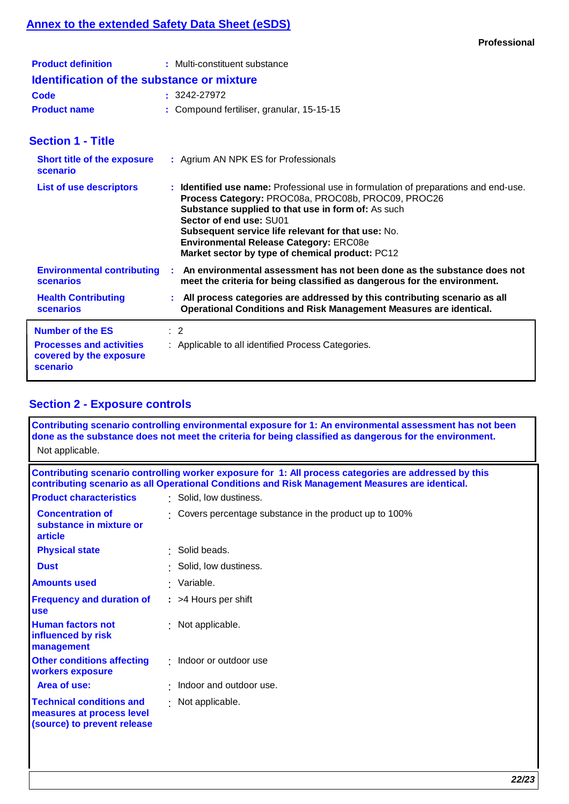# **Annex to the extended Safety Data Sheet (eSDS)**

| <b>Product definition</b>                         | : Multi-constituent substance             |  |
|---------------------------------------------------|-------------------------------------------|--|
| <b>Identification of the substance or mixture</b> |                                           |  |
| Code                                              | $: 3242 - 27972$                          |  |
| <b>Product name</b>                               | : Compound fertiliser, granular, 15-15-15 |  |

# **Section 1 - Title**

| <b>Short title of the exposure</b><br>scenario                                                    | : Agrium AN NPK ES for Professionals                                                                                                                                                                                                                                                                                                                                                        |  |
|---------------------------------------------------------------------------------------------------|---------------------------------------------------------------------------------------------------------------------------------------------------------------------------------------------------------------------------------------------------------------------------------------------------------------------------------------------------------------------------------------------|--|
| <b>List of use descriptors</b>                                                                    | : Identified use name: Professional use in formulation of preparations and end-use.<br>Process Category: PROC08a, PROC08b, PROC09, PROC26<br><b>Substance supplied to that use in form of:</b> As such<br>Sector of end use: SU01<br>Subsequent service life relevant for that use: No.<br><b>Environmental Release Category: ERC08e</b><br>Market sector by type of chemical product: PC12 |  |
| <b>Environmental contributing</b><br><b>scenarios</b>                                             | An environmental assessment has not been done as the substance does not<br>meet the criteria for being classified as dangerous for the environment.                                                                                                                                                                                                                                         |  |
| <b>Health Contributing</b><br><b>scenarios</b>                                                    | : All process categories are addressed by this contributing scenario as all<br>Operational Conditions and Risk Management Measures are identical.                                                                                                                                                                                                                                           |  |
| <b>Number of the ES</b><br><b>Processes and activities</b><br>covered by the exposure<br>scenario | $\therefore$ 2<br>: Applicable to all identified Process Categories.                                                                                                                                                                                                                                                                                                                        |  |

# **Section 2 - Exposure controls**

| Not applicable.                                                                                                                                                                                          | Contributing scenario controlling environmental exposure for 1: An environmental assessment has not been<br>done as the substance does not meet the criteria for being classified as dangerous for the environment. |  |
|----------------------------------------------------------------------------------------------------------------------------------------------------------------------------------------------------------|---------------------------------------------------------------------------------------------------------------------------------------------------------------------------------------------------------------------|--|
| Contributing scenario controlling worker exposure for 1: All process categories are addressed by this<br>contributing scenario as all Operational Conditions and Risk Management Measures are identical. |                                                                                                                                                                                                                     |  |
| <b>Product characteristics</b>                                                                                                                                                                           | : Solid, low dustiness.                                                                                                                                                                                             |  |
| <b>Concentration of</b><br>substance in mixture or<br>article                                                                                                                                            | Covers percentage substance in the product up to 100%                                                                                                                                                               |  |
| <b>Physical state</b>                                                                                                                                                                                    | · Solid beads.                                                                                                                                                                                                      |  |
| <b>Dust</b>                                                                                                                                                                                              | · Solid, low dustiness.                                                                                                                                                                                             |  |
| <b>Amounts used</b>                                                                                                                                                                                      | · Variable.                                                                                                                                                                                                         |  |
| <b>Frequency and duration of</b><br><b>use</b>                                                                                                                                                           | : >4 Hours per shift                                                                                                                                                                                                |  |
| <b>Human factors not</b><br>influenced by risk<br>management                                                                                                                                             | : Not applicable.                                                                                                                                                                                                   |  |
| <b>Other conditions affecting</b><br>workers exposure                                                                                                                                                    | : Indoor or outdoor use                                                                                                                                                                                             |  |
| Area of use:                                                                                                                                                                                             | · Indoor and outdoor use.                                                                                                                                                                                           |  |
| <b>Technical conditions and</b><br>measures at process level<br>(source) to prevent release                                                                                                              | : Not applicable.                                                                                                                                                                                                   |  |
|                                                                                                                                                                                                          |                                                                                                                                                                                                                     |  |